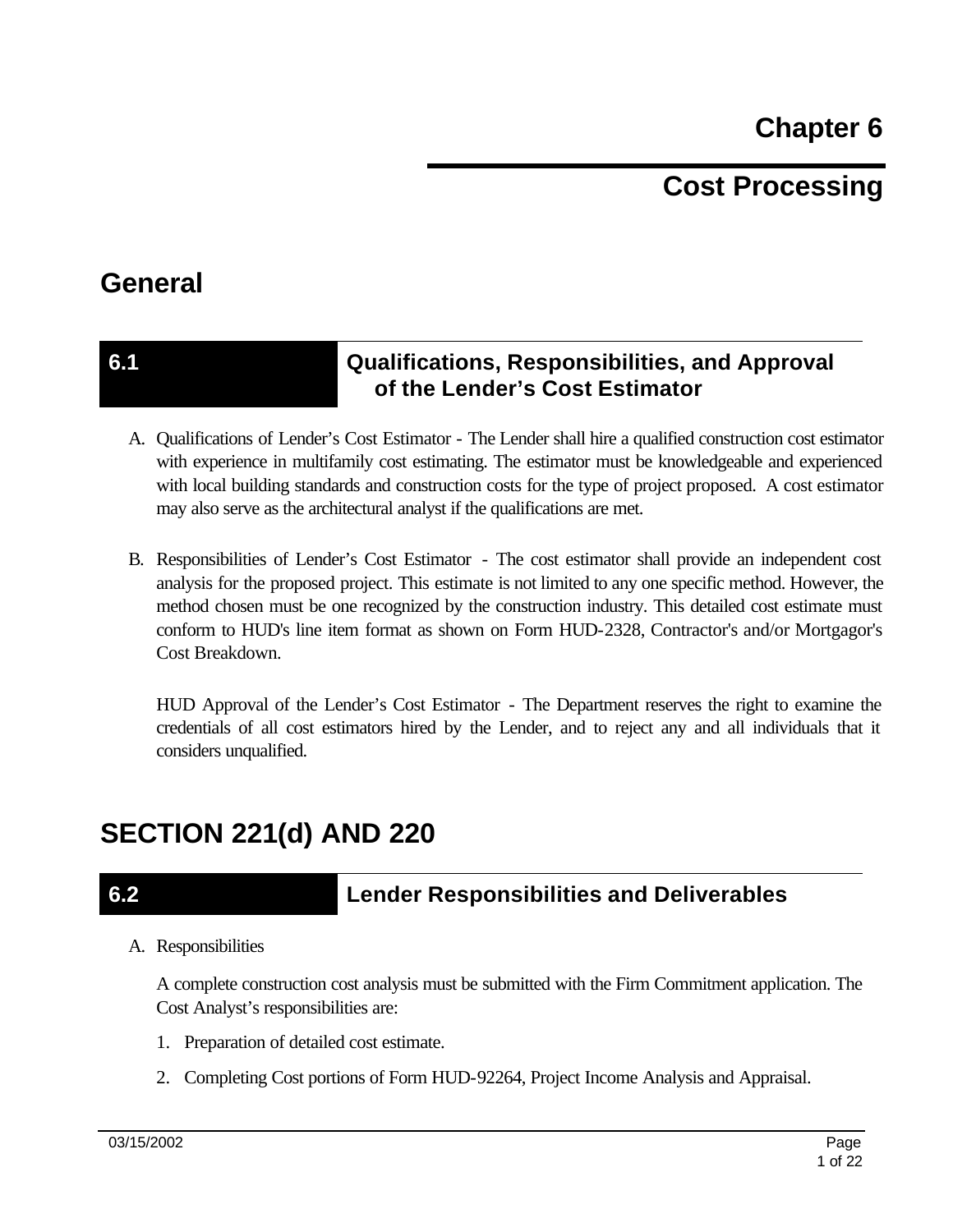**Chapter 6** 

# **Cost Processing**

## **General**

### **6.1 Qualifications, Responsibilities, and Approval of the Lender's Cost Estimator**

- A. Qualifications of Lender's Cost Estimator The Lender shall hire a qualified construction cost estimator with experience in multifamily cost estimating. The estimator must be knowledgeable and experienced with local building standards and construction costs for the type of project proposed. A cost estimator may also serve as the architectural analyst if the qualifications are met.
- B. Responsibilities of Lender's Cost Estimator The cost estimator shall provide an independent cost analysis for the proposed project. This estimate is not limited to any one specific method. However, the method chosen must be one recognized by the construction industry. This detailed cost estimate must conform to HUD's line item format as shown on Form HUD-2328, Contractor's and/or Mortgagor's Cost Breakdown.

HUD Approval of the Lender's Cost Estimator - The Department reserves the right to examine the credentials of all cost estimators hired by the Lender, and to reject any and all individuals that it considers unqualified.

# **SECTION 221(d) AND 220**

## **6.2 Lender Responsibilities and Deliverables**

A. Responsibilities

A complete construction cost analysis must be submitted with the Firm Commitment application. The Cost Analyst's responsibilities are:

- 1. Preparation of detailed cost estimate.
- 2. Completing Cost portions of Form HUD-92264, Project Income Analysis and Appraisal.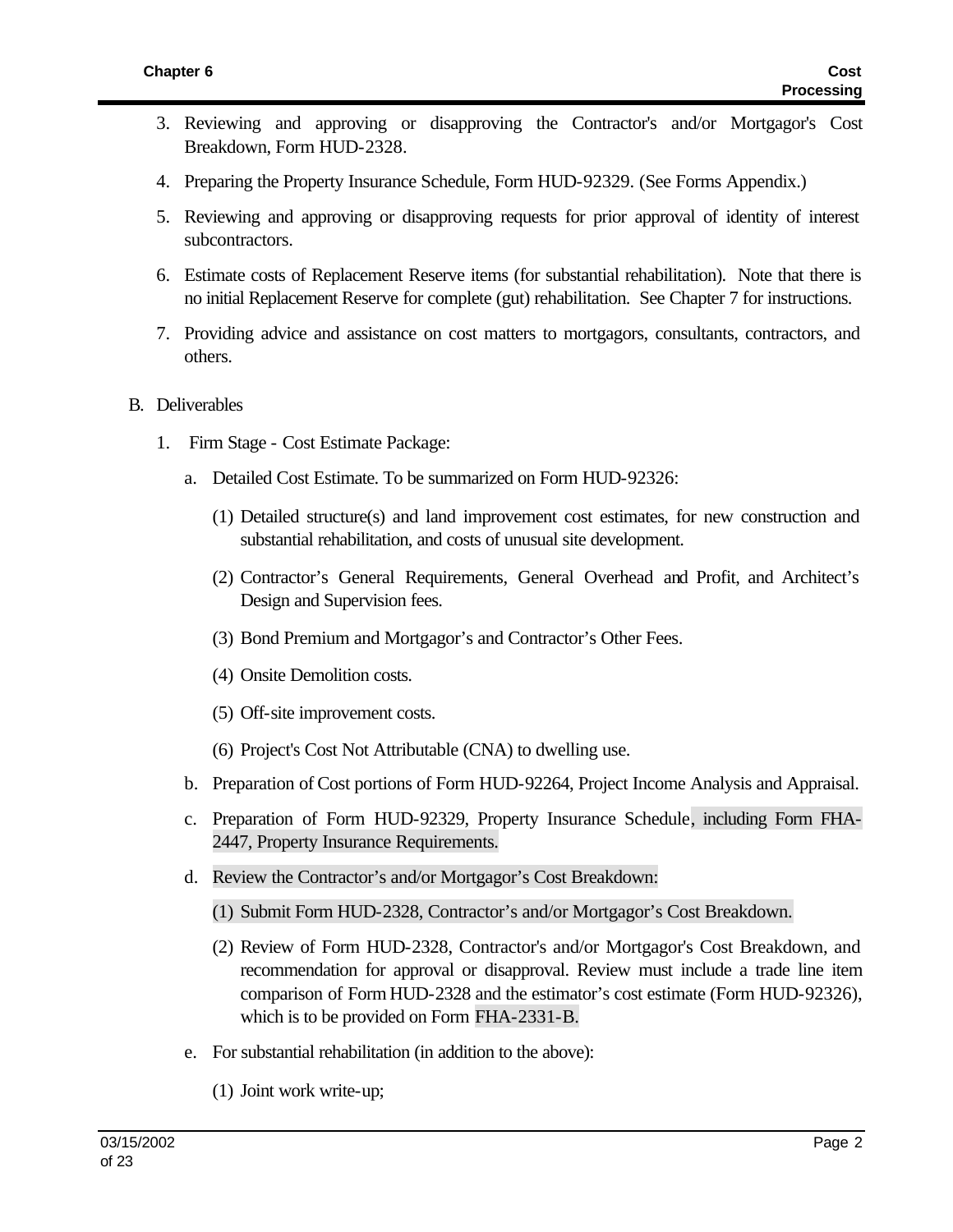- 3. Reviewing and approving or disapproving the Contractor's and/or Mortgagor's Cost Breakdown, Form HUD-2328.
- 4. Preparing the Property Insurance Schedule, Form HUD-92329. (See Forms Appendix.)
- 5. Reviewing and approving or disapproving requests for prior approval of identity of interest subcontractors.
- 6. Estimate costs of Replacement Reserve items (for substantial rehabilitation). Note that there is no initial Replacement Reserve for complete (gut) rehabilitation. See Chapter 7 for instructions.
- 7. Providing advice and assistance on cost matters to mortgagors, consultants, contractors, and others.
- B. Deliverables
	- 1. Firm Stage Cost Estimate Package:
		- a. Detailed Cost Estimate. To be summarized on Form HUD-92326:
			- (1) Detailed structure(s) and land improvement cost estimates, for new construction and substantial rehabilitation, and costs of unusual site development.
			- (2) Contractor's General Requirements, General Overhead and Profit, and Architect's Design and Supervision fees.
			- (3) Bond Premium and Mortgagor's and Contractor's Other Fees.
			- (4) Onsite Demolition costs.
			- (5) Off-site improvement costs.
			- (6) Project's Cost Not Attributable (CNA) to dwelling use.
		- b. Preparation of Cost portions of Form HUD-92264, Project Income Analysis and Appraisal.
		- c. Preparation of Form HUD-92329, Property Insurance Schedule, including Form FHA-2447, Property Insurance Requirements.
		- d. Review the Contractor's and/or Mortgagor's Cost Breakdown:
			- (1) Submit Form HUD-2328, Contractor's and/or Mortgagor's Cost Breakdown.
			- (2) Review of Form HUD-2328, Contractor's and/or Mortgagor's Cost Breakdown, and recommendation for approval or disapproval. Review must include a trade line item comparison of Form HUD-2328 and the estimator's cost estimate (Form HUD-92326), which is to be provided on Form FHA-2331-B.
		- e. For substantial rehabilitation (in addition to the above):
			- (1) Joint work write-up;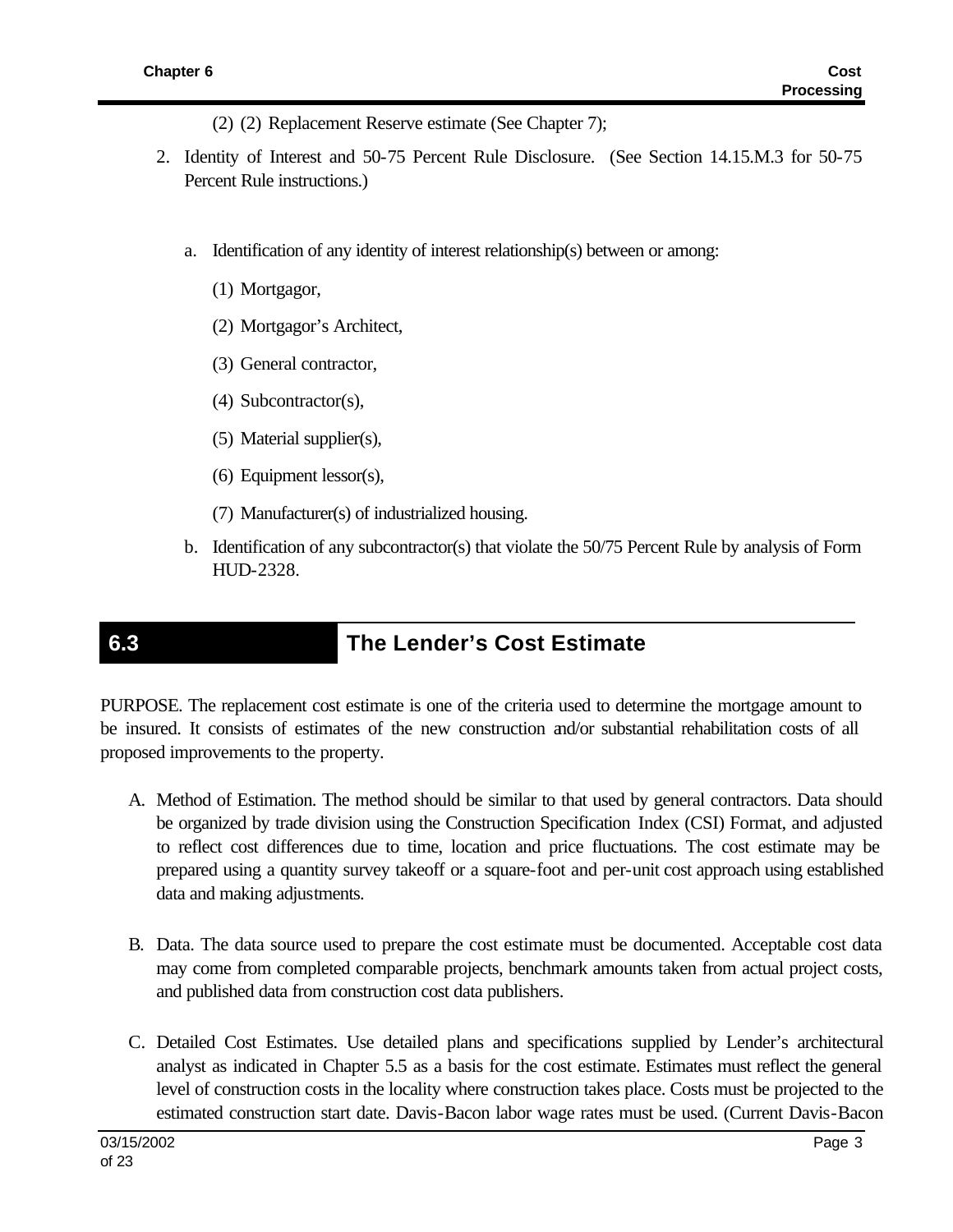- (2) (2) Replacement Reserve estimate (See Chapter 7);
- 2. Identity of Interest and 50-75 Percent Rule Disclosure. (See Section 14.15.M.3 for 50-75 Percent Rule instructions.)
	- a. Identification of any identity of interest relationship(s) between or among:
		- (1) Mortgagor,
		- (2) Mortgagor's Architect,
		- (3) General contractor,
		- (4) Subcontractor(s),
		- (5) Material supplier(s),
		- (6) Equipment lessor(s),
		- (7) Manufacturer(s) of industrialized housing.
	- b. Identification of any subcontractor(s) that violate the 50/75 Percent Rule by analysis of Form HUD-2328.

## **6.3 The Lender's Cost Estimate**

PURPOSE. The replacement cost estimate is one of the criteria used to determine the mortgage amount to be insured. It consists of estimates of the new construction and/or substantial rehabilitation costs of all proposed improvements to the property.

- A. Method of Estimation. The method should be similar to that used by general contractors. Data should be organized by trade division using the Construction Specification Index (CSI) Format, and adjusted to reflect cost differences due to time, location and price fluctuations. The cost estimate may be prepared using a quantity survey takeoff or a square-foot and per-unit cost approach using established data and making adjustments.
- B. Data. The data source used to prepare the cost estimate must be documented. Acceptable cost data may come from completed comparable projects, benchmark amounts taken from actual project costs, and published data from construction cost data publishers.
- C. Detailed Cost Estimates. Use detailed plans and specifications supplied by Lender's architectural analyst as indicated in Chapter 5.5 as a basis for the cost estimate. Estimates must reflect the general level of construction costs in the locality where construction takes place. Costs must be projected to the estimated construction start date. Davis-Bacon labor wage rates must be used. (Current Davis-Bacon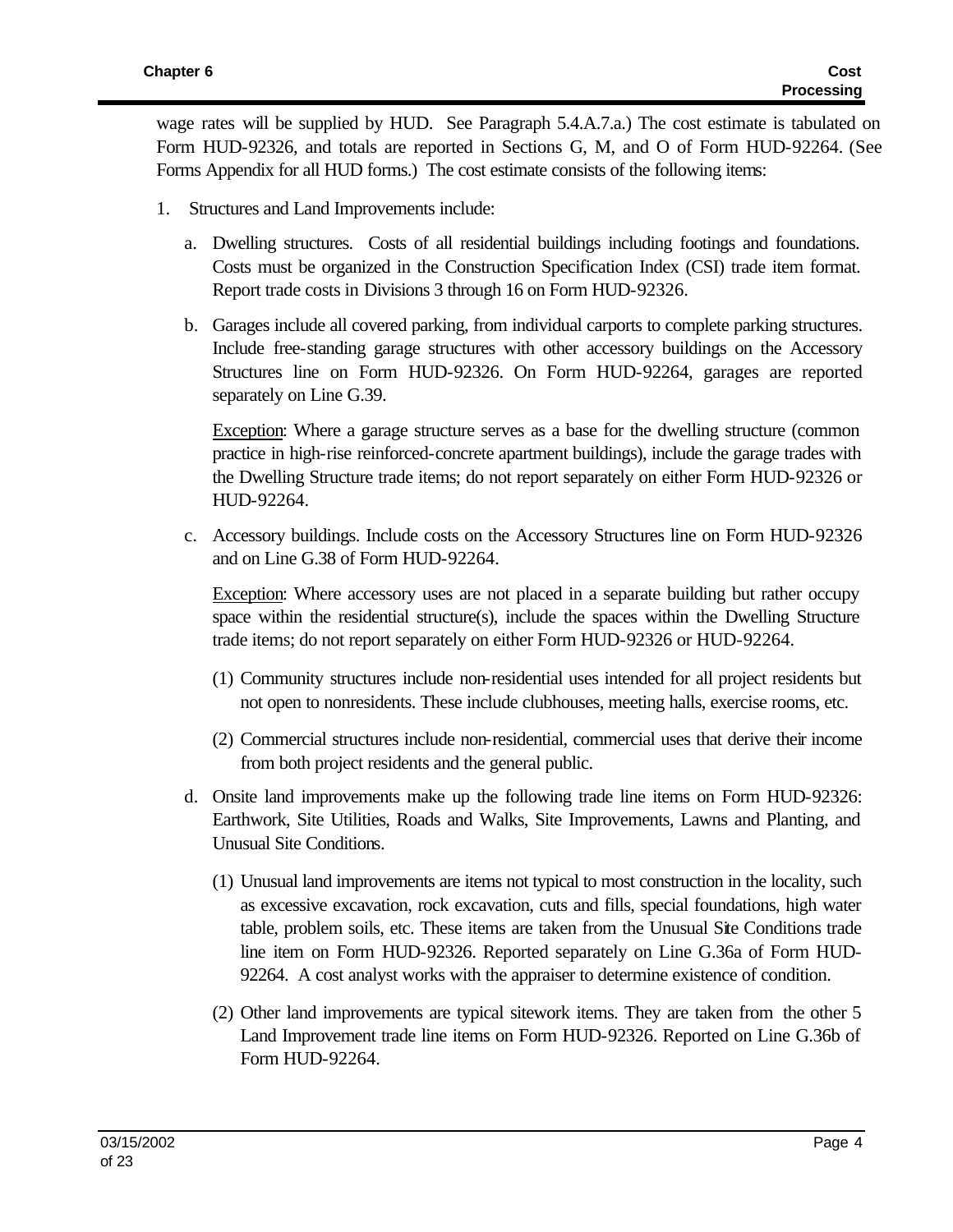wage rates will be supplied by HUD. See Paragraph 5.4.A.7.a.) The cost estimate is tabulated on Form HUD-92326, and totals are reported in Sections G, M, and O of Form HUD-92264. (See Forms Appendix for all HUD forms.) The cost estimate consists of the following items:

- 1. Structures and Land Improvements include:
	- a. Dwelling structures. Costs of all residential buildings including footings and foundations. Costs must be organized in the Construction Specification Index (CSI) trade item format. Report trade costs in Divisions 3 through 16 on Form HUD-92326.
	- b. Garages include all covered parking, from individual carports to complete parking structures. Include free-standing garage structures with other accessory buildings on the Accessory Structures line on Form HUD-92326. On Form HUD-92264, garages are reported separately on Line G.39.

Exception: Where a garage structure serves as a base for the dwelling structure (common practice in high-rise reinforced-concrete apartment buildings), include the garage trades with the Dwelling Structure trade items; do not report separately on either Form HUD-92326 or HUD-92264.

c. Accessory buildings. Include costs on the Accessory Structures line on Form HUD-92326 and on Line G.38 of Form HUD-92264.

Exception: Where accessory uses are not placed in a separate building but rather occupy space within the residential structure(s), include the spaces within the Dwelling Structure trade items; do not report separately on either Form HUD-92326 or HUD-92264.

- (1) Community structures include non-residential uses intended for all project residents but not open to nonresidents. These include clubhouses, meeting halls, exercise rooms, etc.
- (2) Commercial structures include non-residential, commercial uses that derive their income from both project residents and the general public.
- d. Onsite land improvements make up the following trade line items on Form HUD-92326: Earthwork, Site Utilities, Roads and Walks, Site Improvements, Lawns and Planting, and Unusual Site Conditions.
	- (1) Unusual land improvements are items not typical to most construction in the locality, such as excessive excavation, rock excavation, cuts and fills, special foundations, high water table, problem soils, etc. These items are taken from the Unusual Site Conditions trade line item on Form HUD-92326. Reported separately on Line G.36a of Form HUD-92264. A cost analyst works with the appraiser to determine existence of condition.
	- (2) Other land improvements are typical sitework items. They are taken from the other 5 Land Improvement trade line items on Form HUD-92326. Reported on Line G.36b of Form HUD-92264.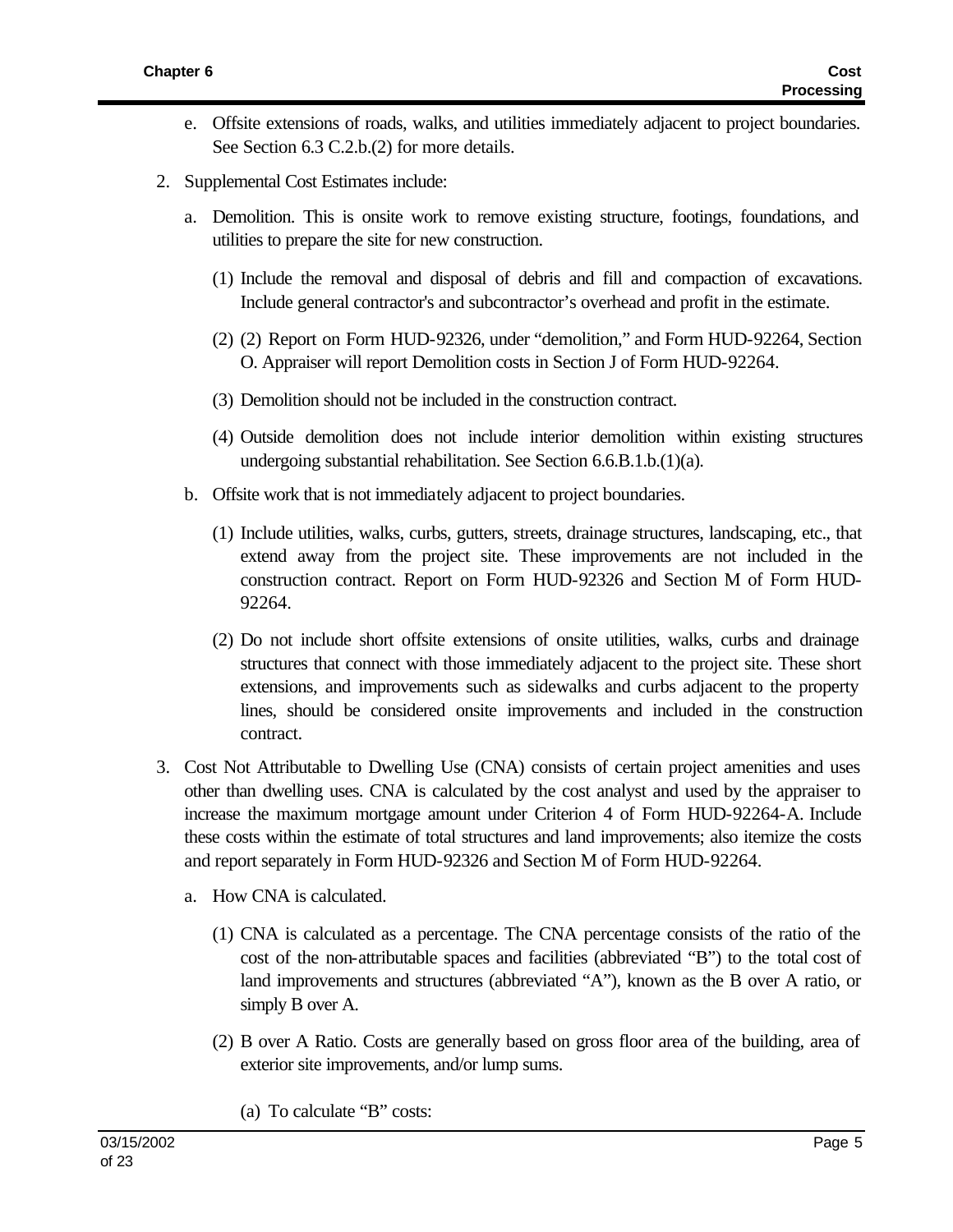- e. Offsite extensions of roads, walks, and utilities immediately adjacent to project boundaries. See Section 6.3 C.2.b.(2) for more details.
- 2. Supplemental Cost Estimates include:
	- a. Demolition. This is onsite work to remove existing structure, footings, foundations, and utilities to prepare the site for new construction.
		- (1) Include the removal and disposal of debris and fill and compaction of excavations. Include general contractor's and subcontractor's overhead and profit in the estimate.
		- (2) (2) Report on Form HUD-92326, under "demolition," and Form HUD-92264, Section O. Appraiser will report Demolition costs in Section J of Form HUD-92264.
		- (3) Demolition should not be included in the construction contract.
		- (4) Outside demolition does not include interior demolition within existing structures undergoing substantial rehabilitation. See Section 6.6.B.1.b.(1)(a).
	- b. Offsite work that is not immediately adjacent to project boundaries.
		- (1) Include utilities, walks, curbs, gutters, streets, drainage structures, landscaping, etc., that extend away from the project site. These improvements are not included in the construction contract. Report on Form HUD-92326 and Section M of Form HUD-92264.
		- (2) Do not include short offsite extensions of onsite utilities, walks, curbs and drainage structures that connect with those immediately adjacent to the project site. These short extensions, and improvements such as sidewalks and curbs adjacent to the property lines, should be considered onsite improvements and included in the construction contract.
- 3. Cost Not Attributable to Dwelling Use (CNA) consists of certain project amenities and uses other than dwelling uses. CNA is calculated by the cost analyst and used by the appraiser to increase the maximum mortgage amount under Criterion 4 of Form HUD-92264-A. Include these costs within the estimate of total structures and land improvements; also itemize the costs and report separately in Form HUD-92326 and Section M of Form HUD-92264.
	- a. How CNA is calculated.
		- (1) CNA is calculated as a percentage. The CNA percentage consists of the ratio of the cost of the non-attributable spaces and facilities (abbreviated "B") to the total cost of land improvements and structures (abbreviated "A"), known as the B over A ratio, or simply B over A.
		- (2) B over A Ratio. Costs are generally based on gross floor area of the building, area of exterior site improvements, and/or lump sums.
			- (a) To calculate "B" costs: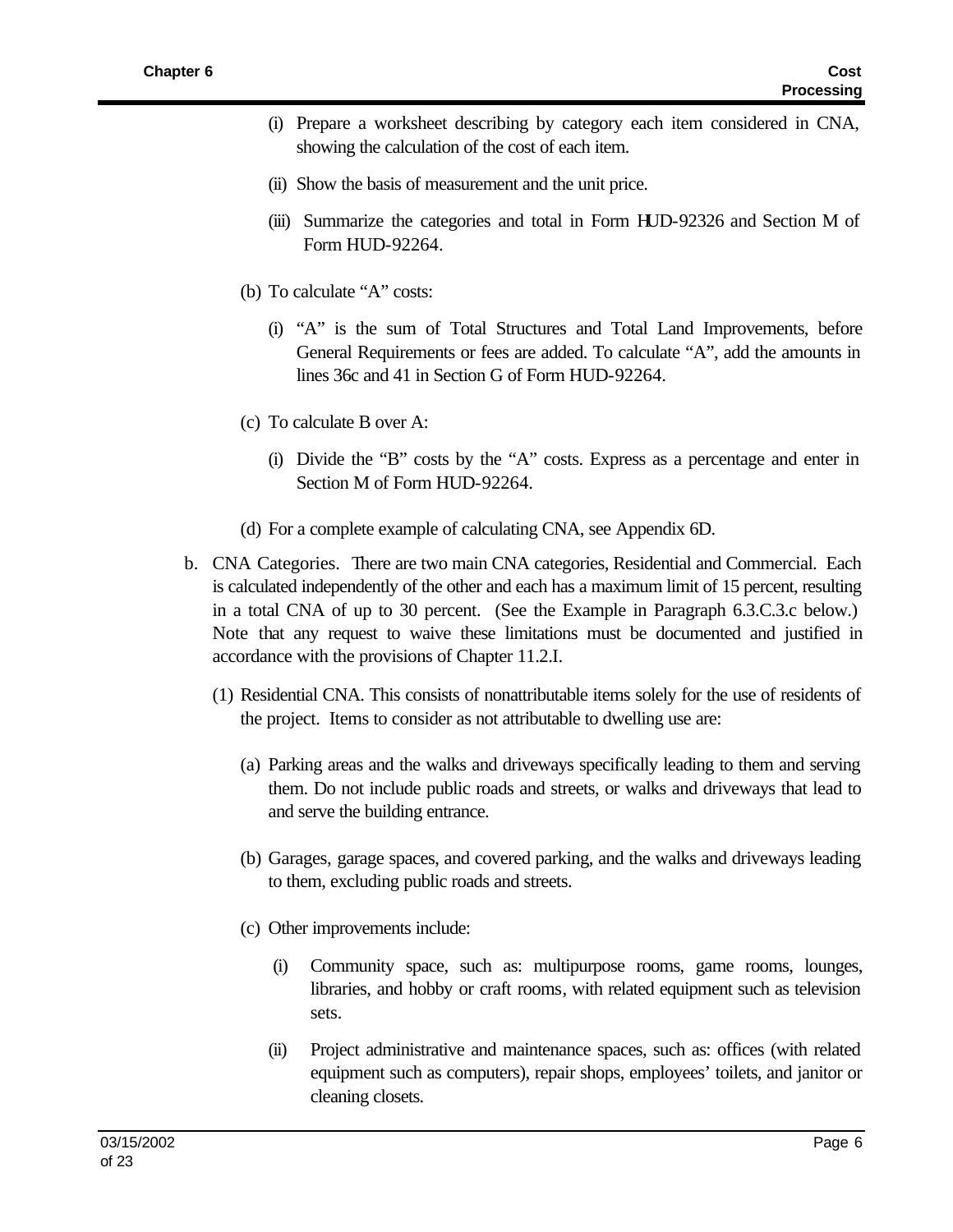- (i) Prepare a worksheet describing by category each item considered in CNA, showing the calculation of the cost of each item.
- (ii) Show the basis of measurement and the unit price.
- (iii) Summarize the categories and total in Form HUD-92326 and Section M of Form HUD-92264.
- (b) To calculate "A" costs:
	- (i) "A" is the sum of Total Structures and Total Land Improvements, before General Requirements or fees are added. To calculate "A", add the amounts in lines 36c and 41 in Section G of Form HUD-92264.
- (c) To calculate B over A:
	- (i) Divide the "B" costs by the "A" costs. Express as a percentage and enter in Section M of Form HUD-92264.
- (d) For a complete example of calculating CNA, see Appendix 6D.
- b. CNA Categories. There are two main CNA categories, Residential and Commercial. Each is calculated independently of the other and each has a maximum limit of 15 percent, resulting in a total CNA of up to 30 percent. (See the Example in Paragraph 6.3.C.3.c below.) Note that any request to waive these limitations must be documented and justified in accordance with the provisions of Chapter 11.2.I.
	- (1) Residential CNA. This consists of nonattributable items solely for the use of residents of the project. Items to consider as not attributable to dwelling use are:
		- (a) Parking areas and the walks and driveways specifically leading to them and serving them. Do not include public roads and streets, or walks and driveways that lead to and serve the building entrance.
		- (b) Garages, garage spaces, and covered parking, and the walks and driveways leading to them, excluding public roads and streets.
		- (c) Other improvements include:
			- (i) Community space, such as: multipurpose rooms, game rooms, lounges, libraries, and hobby or craft rooms, with related equipment such as television sets.
			- (ii) Project administrative and maintenance spaces, such as: offices (with related equipment such as computers), repair shops, employees' toilets, and janitor or cleaning closets.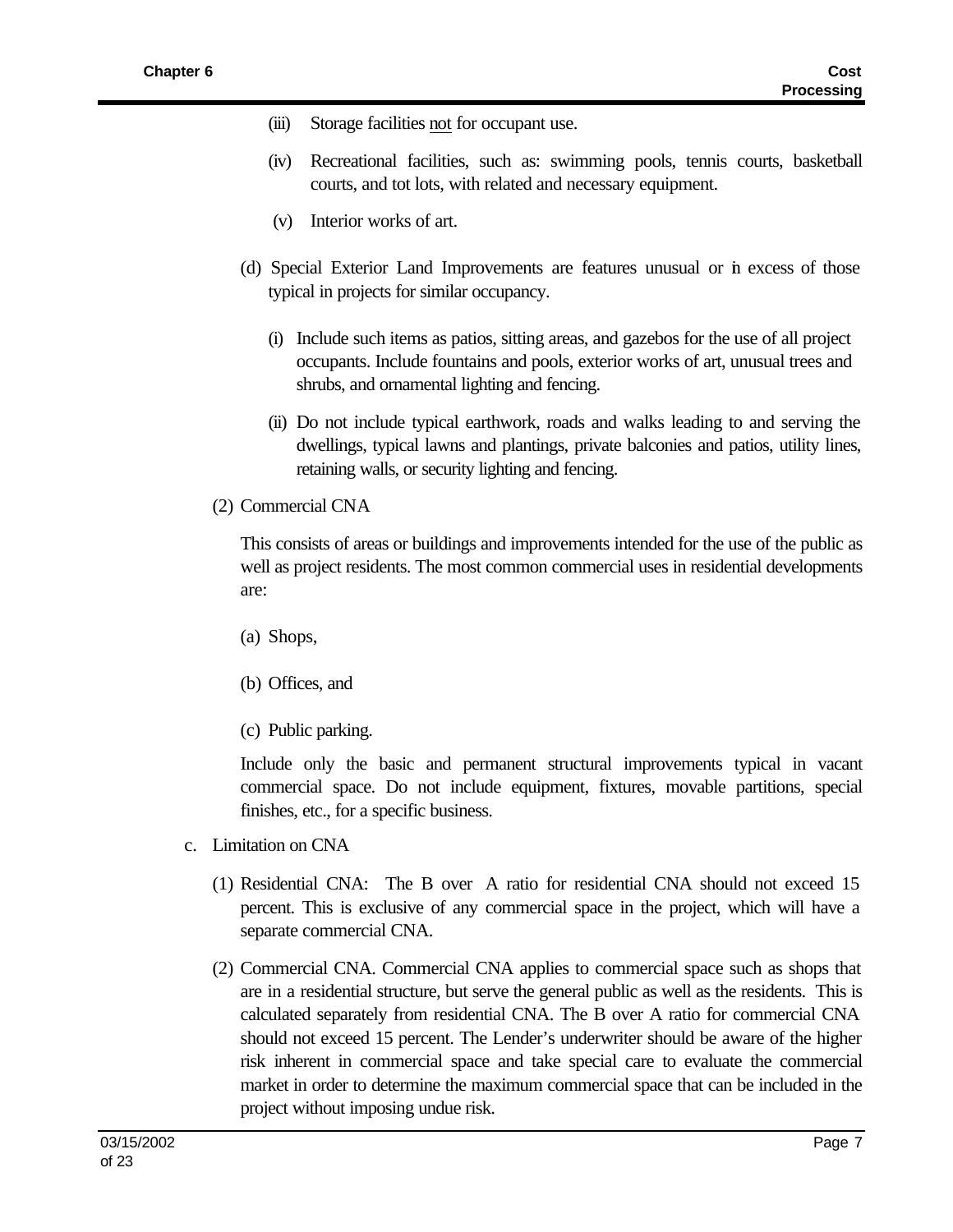- (iii) Storage facilities not for occupant use.
- (iv) Recreational facilities, such as: swimming pools, tennis courts, basketball courts, and tot lots, with related and necessary equipment.
- (v) Interior works of art.
- (d) Special Exterior Land Improvements are features unusual or in excess of those typical in projects for similar occupancy.
	- (i) Include such items as patios, sitting areas, and gazebos for the use of all project occupants. Include fountains and pools, exterior works of art, unusual trees and shrubs, and ornamental lighting and fencing.
	- (ii) Do not include typical earthwork, roads and walks leading to and serving the dwellings, typical lawns and plantings, private balconies and patios, utility lines, retaining walls, or security lighting and fencing.
- (2) Commercial CNA

This consists of areas or buildings and improvements intended for the use of the public as well as project residents. The most common commercial uses in residential developments are:

- (a) Shops,
- (b) Offices, and
- (c) Public parking.

Include only the basic and permanent structural improvements typical in vacant commercial space. Do not include equipment, fixtures, movable partitions, special finishes, etc., for a specific business.

- c. Limitation on CNA
	- (1) Residential CNA: The B over A ratio for residential CNA should not exceed 15 percent. This is exclusive of any commercial space in the project, which will have a separate commercial CNA.
	- (2) Commercial CNA. Commercial CNA applies to commercial space such as shops that are in a residential structure, but serve the general public as well as the residents. This is calculated separately from residential CNA. The B over A ratio for commercial CNA should not exceed 15 percent. The Lender's underwriter should be aware of the higher risk inherent in commercial space and take special care to evaluate the commercial market in order to determine the maximum commercial space that can be included in the project without imposing undue risk.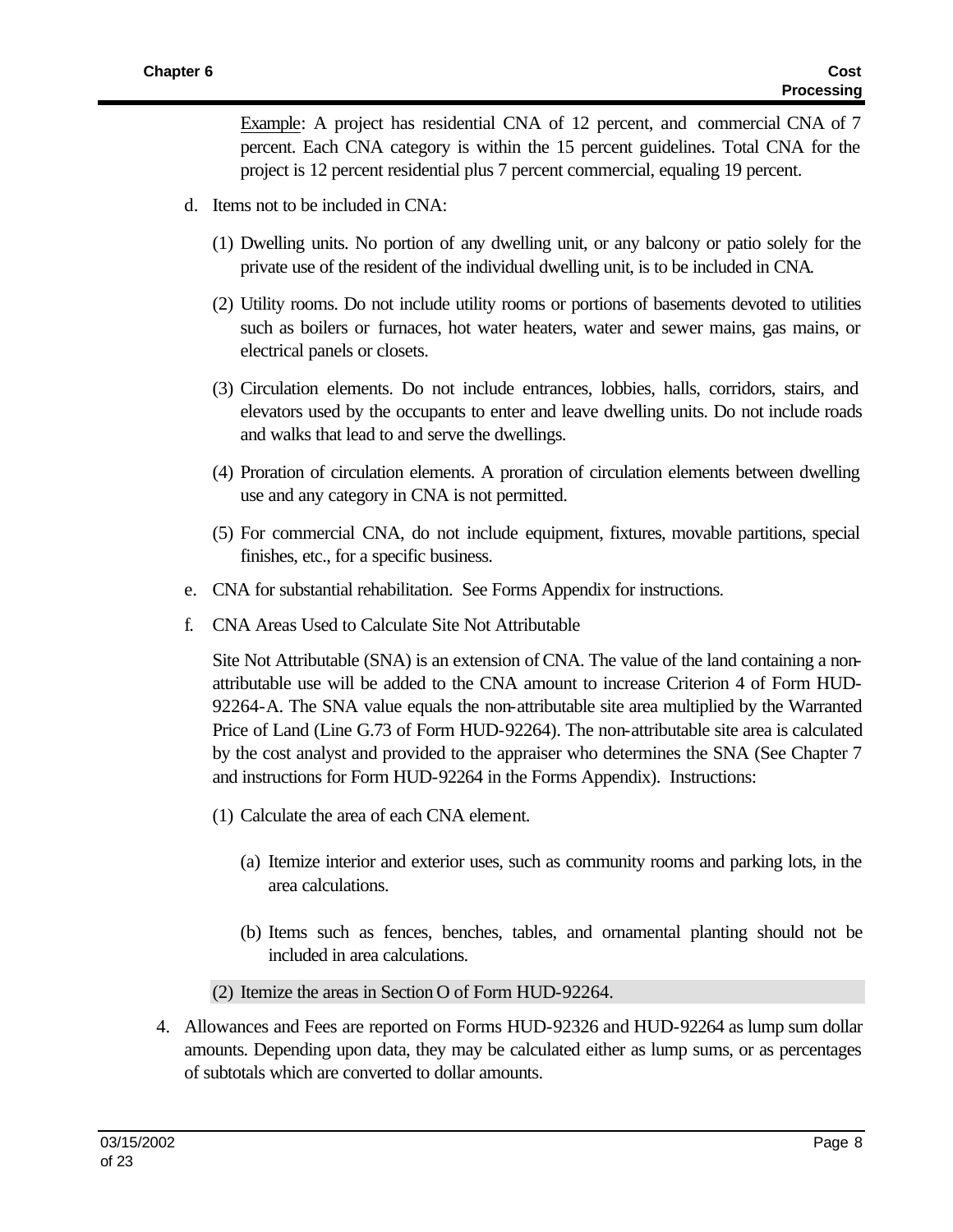Example: A project has residential CNA of 12 percent, and commercial CNA of 7 percent. Each CNA category is within the 15 percent guidelines. Total CNA for the project is 12 percent residential plus 7 percent commercial, equaling 19 percent.

- d. Items not to be included in CNA:
	- (1) Dwelling units. No portion of any dwelling unit, or any balcony or patio solely for the private use of the resident of the individual dwelling unit, is to be included in CNA.
	- (2) Utility rooms. Do not include utility rooms or portions of basements devoted to utilities such as boilers or furnaces, hot water heaters, water and sewer mains, gas mains, or electrical panels or closets.
	- (3) Circulation elements. Do not include entrances, lobbies, halls, corridors, stairs, and elevators used by the occupants to enter and leave dwelling units. Do not include roads and walks that lead to and serve the dwellings.
	- (4) Proration of circulation elements. A proration of circulation elements between dwelling use and any category in CNA is not permitted.
	- (5) For commercial CNA, do not include equipment, fixtures, movable partitions, special finishes, etc., for a specific business.
- e. CNA for substantial rehabilitation. See Forms Appendix for instructions.
- f. CNA Areas Used to Calculate Site Not Attributable

Site Not Attributable (SNA) is an extension of CNA. The value of the land containing a nonattributable use will be added to the CNA amount to increase Criterion 4 of Form HUD-92264-A. The SNA value equals the non-attributable site area multiplied by the Warranted Price of Land (Line G.73 of Form HUD-92264). The non-attributable site area is calculated by the cost analyst and provided to the appraiser who determines the SNA (See Chapter 7 and instructions for Form HUD-92264 in the Forms Appendix). Instructions:

- (1) Calculate the area of each CNA element.
	- (a) Itemize interior and exterior uses, such as community rooms and parking lots, in the area calculations.
	- (b) Items such as fences, benches, tables, and ornamental planting should not be included in area calculations.
- (2) Itemize the areas in Section O of Form HUD-92264.
- 4. Allowances and Fees are reported on Forms HUD-92326 and HUD-92264 as lump sum dollar amounts. Depending upon data, they may be calculated either as lump sums, or as percentages of subtotals which are converted to dollar amounts.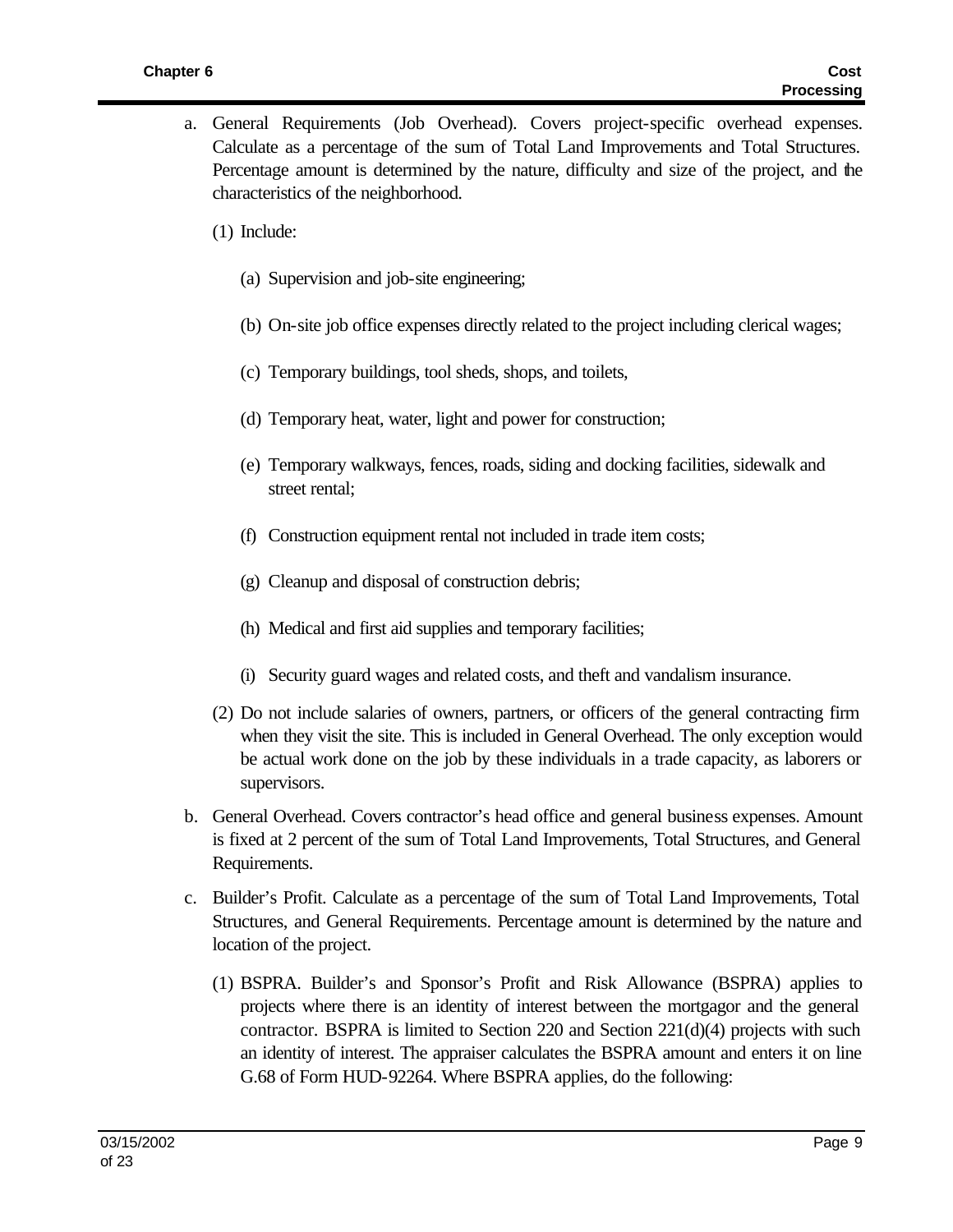- a. General Requirements (Job Overhead). Covers project-specific overhead expenses. Calculate as a percentage of the sum of Total Land Improvements and Total Structures. Percentage amount is determined by the nature, difficulty and size of the project, and the characteristics of the neighborhood.
	- (1) Include:
		- (a) Supervision and job-site engineering;
		- (b) On-site job office expenses directly related to the project including clerical wages;
		- (c) Temporary buildings, tool sheds, shops, and toilets,
		- (d) Temporary heat, water, light and power for construction;
		- (e) Temporary walkways, fences, roads, siding and docking facilities, sidewalk and street rental;
		- (f) Construction equipment rental not included in trade item costs;
		- (g) Cleanup and disposal of construction debris;
		- (h) Medical and first aid supplies and temporary facilities;
		- (i) Security guard wages and related costs, and theft and vandalism insurance.
	- (2) Do not include salaries of owners, partners, or officers of the general contracting firm when they visit the site. This is included in General Overhead. The only exception would be actual work done on the job by these individuals in a trade capacity, as laborers or supervisors.
- b. General Overhead. Covers contractor's head office and general business expenses. Amount is fixed at 2 percent of the sum of Total Land Improvements, Total Structures, and General Requirements.
- c. Builder's Profit. Calculate as a percentage of the sum of Total Land Improvements, Total Structures, and General Requirements. Percentage amount is determined by the nature and location of the project.
	- (1) BSPRA. Builder's and Sponsor's Profit and Risk Allowance (BSPRA) applies to projects where there is an identity of interest between the mortgagor and the general contractor. BSPRA is limited to Section 220 and Section  $221(d)(4)$  projects with such an identity of interest. The appraiser calculates the BSPRA amount and enters it on line G.68 of Form HUD-92264. Where BSPRA applies, do the following: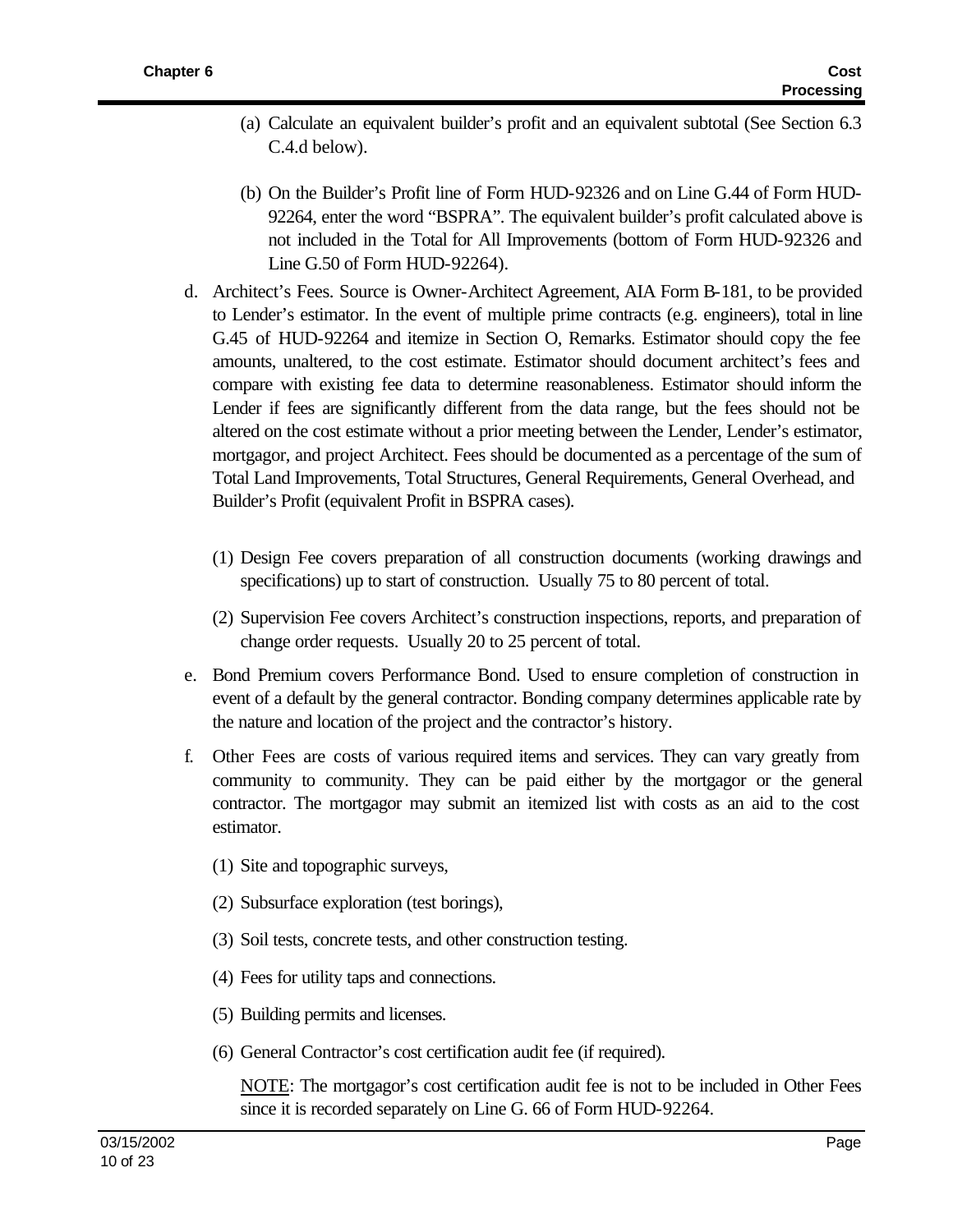- (a) Calculate an equivalent builder's profit and an equivalent subtotal (See Section 6.3 C.4.d below).
- (b) On the Builder's Profit line of Form HUD-92326 and on Line G.44 of Form HUD-92264, enter the word "BSPRA". The equivalent builder's profit calculated above is not included in the Total for All Improvements (bottom of Form HUD-92326 and Line G.50 of Form HUD-92264).
- d. Architect's Fees. Source is Owner-Architect Agreement, AIA Form B-181, to be provided to Lender's estimator. In the event of multiple prime contracts (e.g. engineers), total in line G.45 of HUD-92264 and itemize in Section O, Remarks. Estimator should copy the fee amounts, unaltered, to the cost estimate. Estimator should document architect's fees and compare with existing fee data to determine reasonableness. Estimator should inform the Lender if fees are significantly different from the data range, but the fees should not be altered on the cost estimate without a prior meeting between the Lender, Lender's estimator, mortgagor, and project Architect. Fees should be documented as a percentage of the sum of Total Land Improvements, Total Structures, General Requirements, General Overhead, and Builder's Profit (equivalent Profit in BSPRA cases).
	- (1) Design Fee covers preparation of all construction documents (working drawings and specifications) up to start of construction. Usually 75 to 80 percent of total.
	- (2) Supervision Fee covers Architect's construction inspections, reports, and preparation of change order requests. Usually 20 to 25 percent of total.
- e. Bond Premium covers Performance Bond. Used to ensure completion of construction in event of a default by the general contractor. Bonding company determines applicable rate by the nature and location of the project and the contractor's history.
- f. Other Fees are costs of various required items and services. They can vary greatly from community to community. They can be paid either by the mortgagor or the general contractor. The mortgagor may submit an itemized list with costs as an aid to the cost estimator.
	- (1) Site and topographic surveys,
	- (2) Subsurface exploration (test borings),
	- (3) Soil tests, concrete tests, and other construction testing.
	- (4) Fees for utility taps and connections.
	- (5) Building permits and licenses.
	- (6) General Contractor's cost certification audit fee (if required).

NOTE: The mortgagor's cost certification audit fee is not to be included in Other Fees since it is recorded separately on Line G. 66 of Form HUD-92264.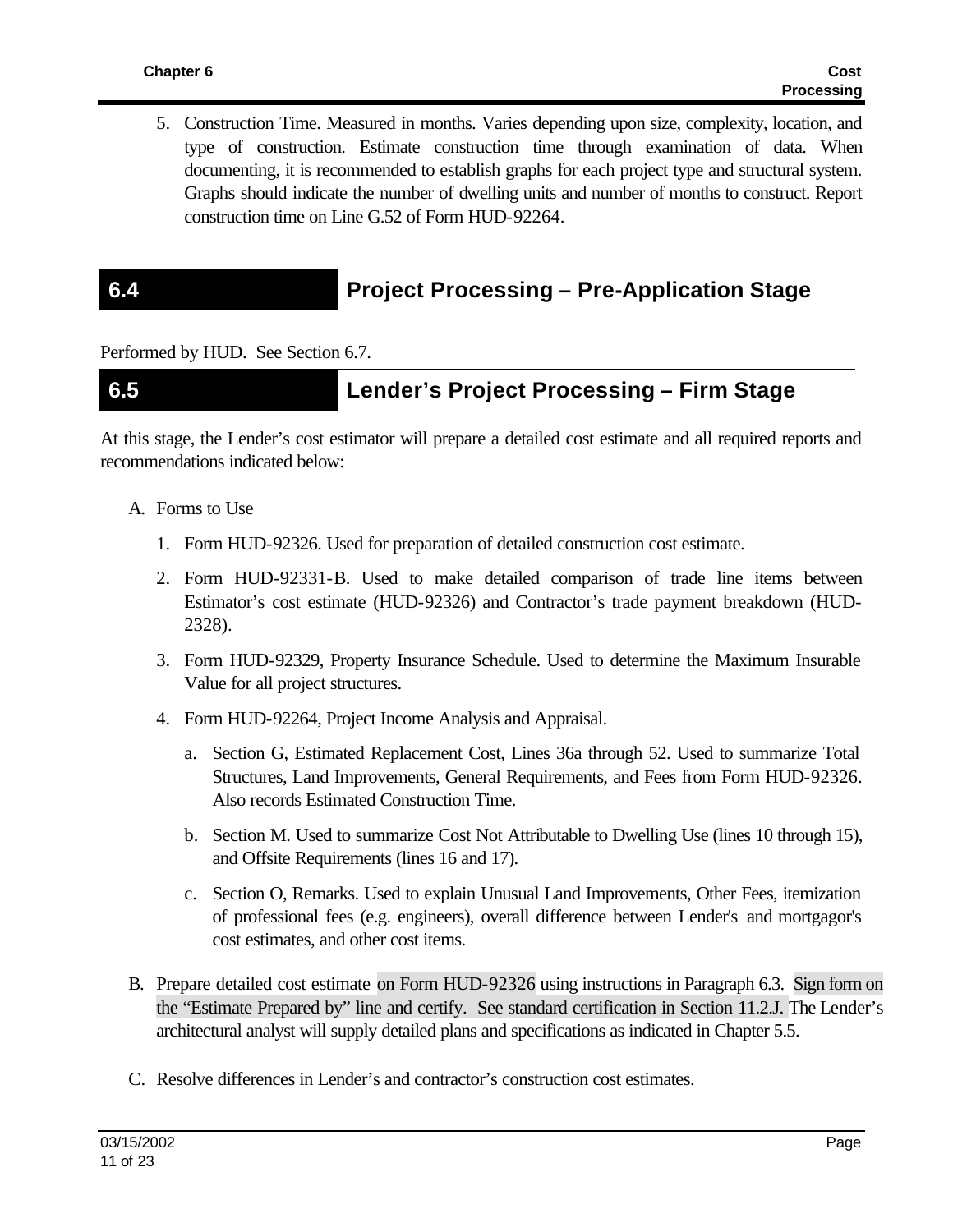5. Construction Time. Measured in months. Varies depending upon size, complexity, location, and type of construction. Estimate construction time through examination of data. When documenting, it is recommended to establish graphs for each project type and structural system. Graphs should indicate the number of dwelling units and number of months to construct. Report construction time on Line G.52 of Form HUD-92264.

## **6.4 Project Processing – Pre-Application Stage**

Performed by HUD. See Section 6.7.

### **6.5 Lender's Project Processing – Firm Stage**

At this stage, the Lender's cost estimator will prepare a detailed cost estimate and all required reports and recommendations indicated below:

- A. Forms to Use
	- 1. Form HUD-92326. Used for preparation of detailed construction cost estimate.
	- 2. Form HUD-92331-B. Used to make detailed comparison of trade line items between Estimator's cost estimate (HUD-92326) and Contractor's trade payment breakdown (HUD-2328).
	- 3. Form HUD-92329, Property Insurance Schedule. Used to determine the Maximum Insurable Value for all project structures.
	- 4. Form HUD-92264, Project Income Analysis and Appraisal.
		- a. Section G, Estimated Replacement Cost, Lines 36a through 52. Used to summarize Total Structures, Land Improvements, General Requirements, and Fees from Form HUD-92326. Also records Estimated Construction Time.
		- b. Section M. Used to summarize Cost Not Attributable to Dwelling Use (lines 10 through 15), and Offsite Requirements (lines 16 and 17).
		- c. Section O, Remarks. Used to explain Unusual Land Improvements, Other Fees, itemization of professional fees (e.g. engineers), overall difference between Lender's and mortgagor's cost estimates, and other cost items.
- B. Prepare detailed cost estimate on Form HUD-92326 using instructions in Paragraph 6.3. Sign form on the "Estimate Prepared by" line and certify. See standard certification in Section 11.2.J. The Lender's architectural analyst will supply detailed plans and specifications as indicated in Chapter 5.5.
- C. Resolve differences in Lender's and contractor's construction cost estimates.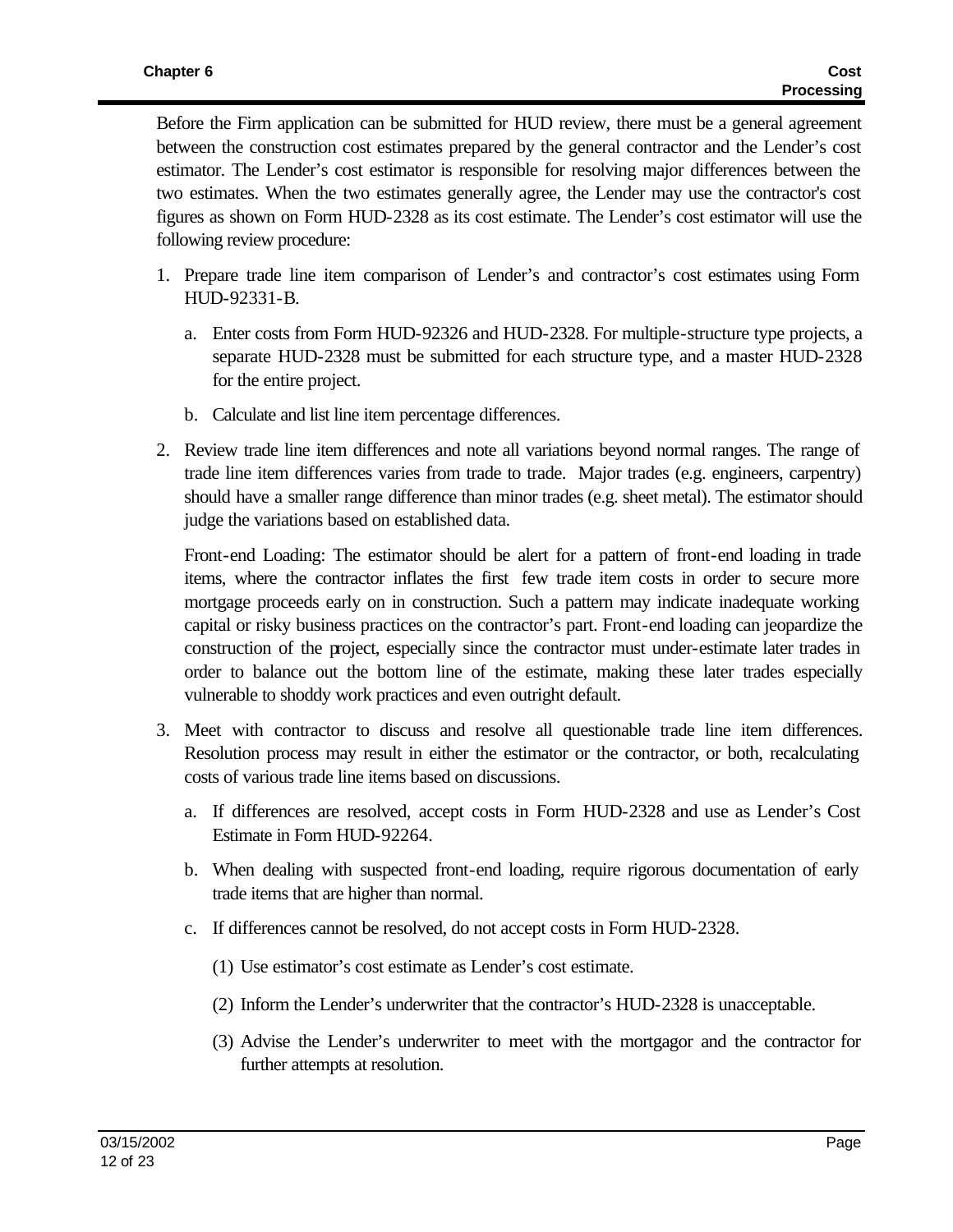Before the Firm application can be submitted for HUD review, there must be a general agreement between the construction cost estimates prepared by the general contractor and the Lender's cost estimator. The Lender's cost estimator is responsible for resolving major differences between the two estimates. When the two estimates generally agree, the Lender may use the contractor's cost figures as shown on Form HUD-2328 as its cost estimate. The Lender's cost estimator will use the following review procedure:

- 1. Prepare trade line item comparison of Lender's and contractor's cost estimates using Form HUD-92331-B.
	- a. Enter costs from Form HUD-92326 and HUD-2328. For multiple-structure type projects, a separate HUD-2328 must be submitted for each structure type, and a master HUD-2328 for the entire project.
	- b. Calculate and list line item percentage differences.
- 2. Review trade line item differences and note all variations beyond normal ranges. The range of trade line item differences varies from trade to trade. Major trades (e.g. engineers, carpentry) should have a smaller range difference than minor trades (e.g. sheet metal). The estimator should judge the variations based on established data.

Front-end Loading: The estimator should be alert for a pattern of front-end loading in trade items, where the contractor inflates the first few trade item costs in order to secure more mortgage proceeds early on in construction. Such a pattern may indicate inadequate working capital or risky business practices on the contractor's part. Front-end loading can jeopardize the construction of the project, especially since the contractor must under-estimate later trades in order to balance out the bottom line of the estimate, making these later trades especially vulnerable to shoddy work practices and even outright default.

- 3. Meet with contractor to discuss and resolve all questionable trade line item differences. Resolution process may result in either the estimator or the contractor, or both, recalculating costs of various trade line items based on discussions.
	- a. If differences are resolved, accept costs in Form HUD-2328 and use as Lender's Cost Estimate in Form HUD-92264.
	- b. When dealing with suspected front-end loading, require rigorous documentation of early trade items that are higher than normal.
	- c. If differences cannot be resolved, do not accept costs in Form HUD-2328.
		- (1) Use estimator's cost estimate as Lender's cost estimate.
		- (2) Inform the Lender's underwriter that the contractor's HUD-2328 is unacceptable.
		- (3) Advise the Lender's underwriter to meet with the mortgagor and the contractor for further attempts at resolution.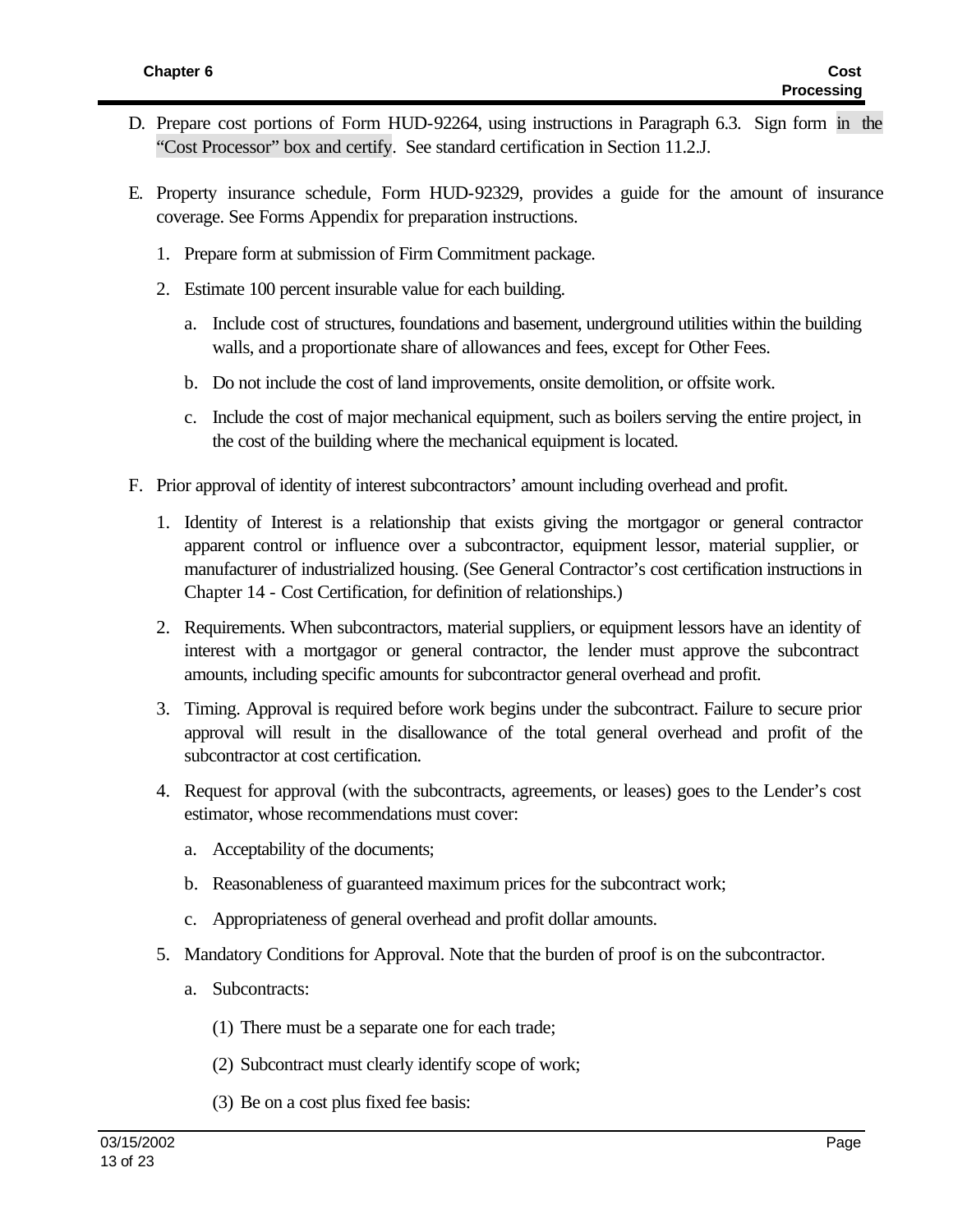- D. Prepare cost portions of Form HUD-92264, using instructions in Paragraph 6.3. Sign form in the "Cost Processor" box and certify. See standard certification in Section 11.2.J.
- E. Property insurance schedule, Form HUD-92329, provides a guide for the amount of insurance coverage. See Forms Appendix for preparation instructions.
	- 1. Prepare form at submission of Firm Commitment package.
	- 2. Estimate 100 percent insurable value for each building.
		- a. Include cost of structures, foundations and basement, underground utilities within the building walls, and a proportionate share of allowances and fees, except for Other Fees.
		- b. Do not include the cost of land improvements, onsite demolition, or offsite work.
		- c. Include the cost of major mechanical equipment, such as boilers serving the entire project, in the cost of the building where the mechanical equipment is located.
- F. Prior approval of identity of interest subcontractors' amount including overhead and profit.
	- 1. Identity of Interest is a relationship that exists giving the mortgagor or general contractor apparent control or influence over a subcontractor, equipment lessor, material supplier, or manufacturer of industrialized housing. (See General Contractor's cost certification instructions in Chapter 14 - Cost Certification, for definition of relationships.)
	- 2. Requirements. When subcontractors, material suppliers, or equipment lessors have an identity of interest with a mortgagor or general contractor, the lender must approve the subcontract amounts, including specific amounts for subcontractor general overhead and profit.
	- 3. Timing. Approval is required before work begins under the subcontract. Failure to secure prior approval will result in the disallowance of the total general overhead and profit of the subcontractor at cost certification.
	- 4. Request for approval (with the subcontracts, agreements, or leases) goes to the Lender's cost estimator, whose recommendations must cover:
		- a. Acceptability of the documents;
		- b. Reasonableness of guaranteed maximum prices for the subcontract work;
		- c. Appropriateness of general overhead and profit dollar amounts.
	- 5. Mandatory Conditions for Approval. Note that the burden of proof is on the subcontractor.
		- a. Subcontracts:
			- (1) There must be a separate one for each trade;
			- (2) Subcontract must clearly identify scope of work;
			- (3) Be on a cost plus fixed fee basis: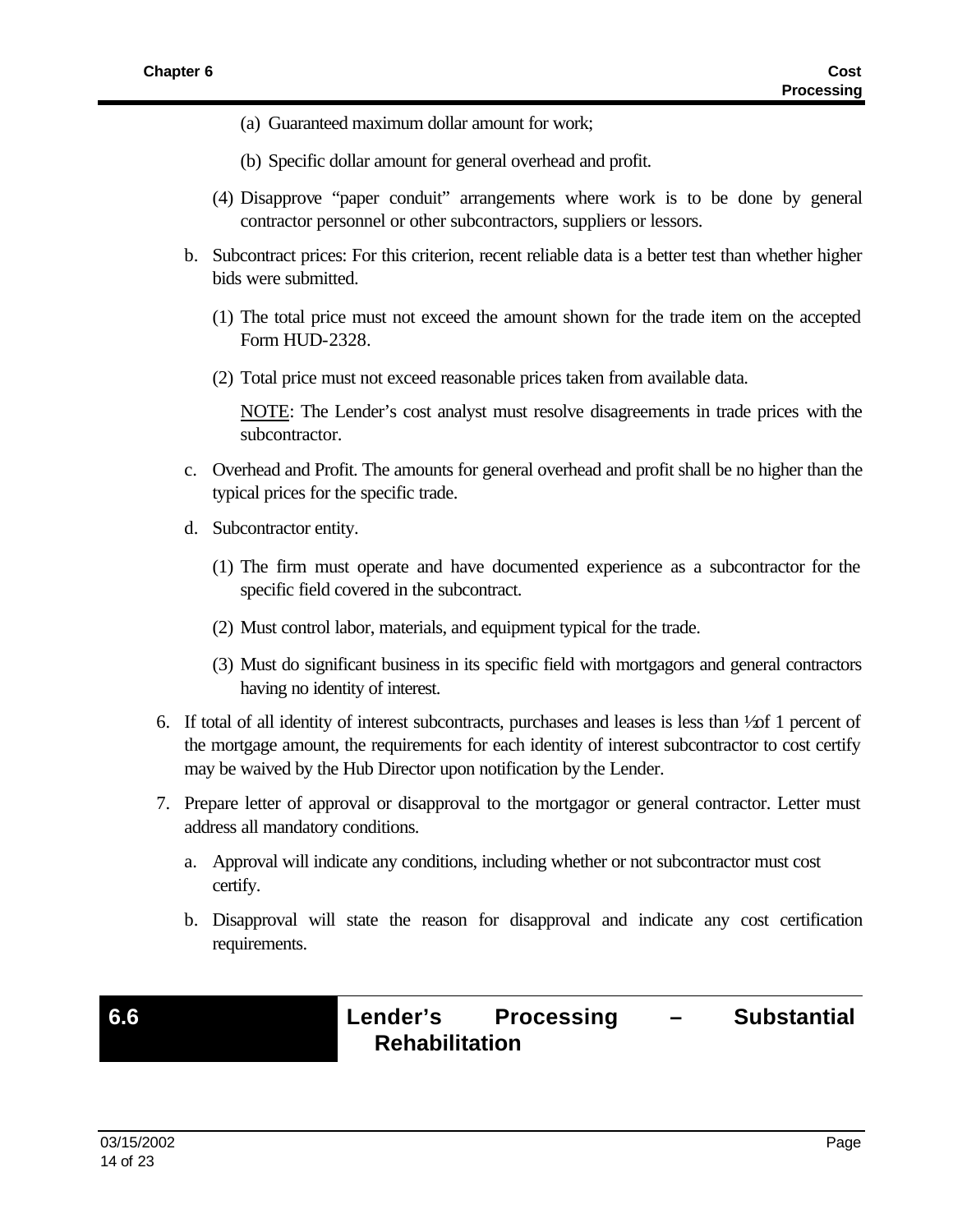- (a) Guaranteed maximum dollar amount for work;
- (b) Specific dollar amount for general overhead and profit.
- (4) Disapprove "paper conduit" arrangements where work is to be done by general contractor personnel or other subcontractors, suppliers or lessors.
- b. Subcontract prices: For this criterion, recent reliable data is a better test than whether higher bids were submitted.
	- (1) The total price must not exceed the amount shown for the trade item on the accepted Form HUD-2328.
	- (2) Total price must not exceed reasonable prices taken from available data.

NOTE: The Lender's cost analyst must resolve disagreements in trade prices with the subcontractor.

- c. Overhead and Profit. The amounts for general overhead and profit shall be no higher than the typical prices for the specific trade.
- d. Subcontractor entity.
	- (1) The firm must operate and have documented experience as a subcontractor for the specific field covered in the subcontract.
	- (2) Must control labor, materials, and equipment typical for the trade.
	- (3) Must do significant business in its specific field with mortgagors and general contractors having no identity of interest.
- 6. If total of all identity of interest subcontracts, purchases and leases is less than  $\frac{1}{20}$  1 percent of the mortgage amount, the requirements for each identity of interest subcontractor to cost certify may be waived by the Hub Director upon notification by the Lender.
- 7. Prepare letter of approval or disapproval to the mortgagor or general contractor. Letter must address all mandatory conditions.
	- a. Approval will indicate any conditions, including whether or not subcontractor must cost certify.
	- b. Disapproval will state the reason for disapproval and indicate any cost certification requirements.

**6.6 Lender's Processing – Substantial Rehabilitation**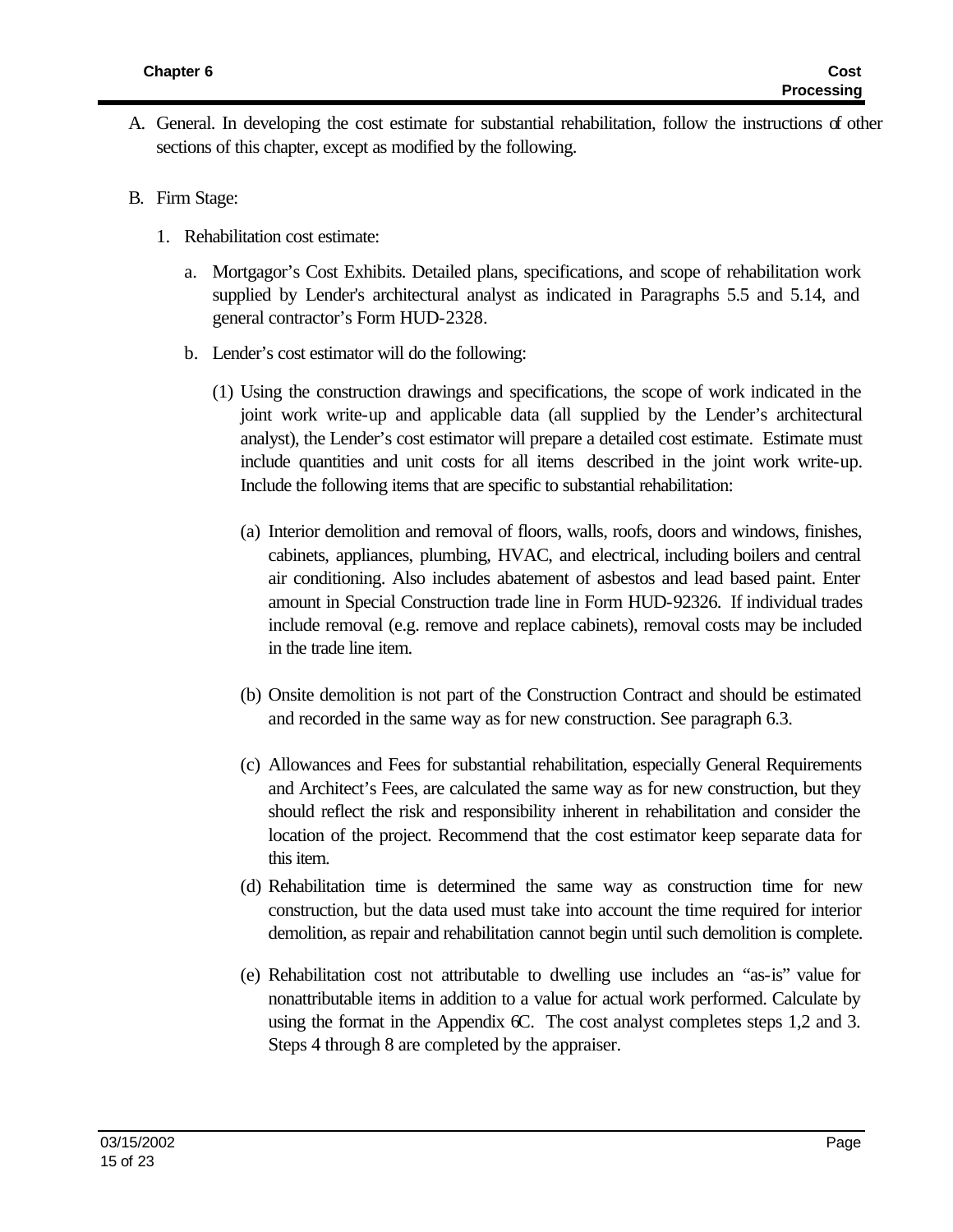- A. General. In developing the cost estimate for substantial rehabilitation, follow the instructions of other sections of this chapter, except as modified by the following.
- B. Firm Stage:
	- 1. Rehabilitation cost estimate:
		- a. Mortgagor's Cost Exhibits. Detailed plans, specifications, and scope of rehabilitation work supplied by Lender's architectural analyst as indicated in Paragraphs 5.5 and 5.14, and general contractor's Form HUD-2328.
		- b. Lender's cost estimator will do the following:
			- (1) Using the construction drawings and specifications, the scope of work indicated in the joint work write-up and applicable data (all supplied by the Lender's architectural analyst), the Lender's cost estimator will prepare a detailed cost estimate. Estimate must include quantities and unit costs for all items described in the joint work write-up. Include the following items that are specific to substantial rehabilitation:
				- (a) Interior demolition and removal of floors, walls, roofs, doors and windows, finishes, cabinets, appliances, plumbing, HVAC, and electrical, including boilers and central air conditioning. Also includes abatement of asbestos and lead based paint. Enter amount in Special Construction trade line in Form HUD-92326. If individual trades include removal (e.g. remove and replace cabinets), removal costs may be included in the trade line item.
				- (b) Onsite demolition is not part of the Construction Contract and should be estimated and recorded in the same way as for new construction. See paragraph 6.3.
				- (c) Allowances and Fees for substantial rehabilitation, especially General Requirements and Architect's Fees, are calculated the same way as for new construction, but they should reflect the risk and responsibility inherent in rehabilitation and consider the location of the project. Recommend that the cost estimator keep separate data for this item.
				- (d) Rehabilitation time is determined the same way as construction time for new construction, but the data used must take into account the time required for interior demolition, as repair and rehabilitation cannot begin until such demolition is complete.
				- (e) Rehabilitation cost not attributable to dwelling use includes an "as-is" value for nonattributable items in addition to a value for actual work performed. Calculate by using the format in the Appendix  $\sigma$ . The cost analyst completes steps 1,2 and 3. Steps 4 through 8 are completed by the appraiser.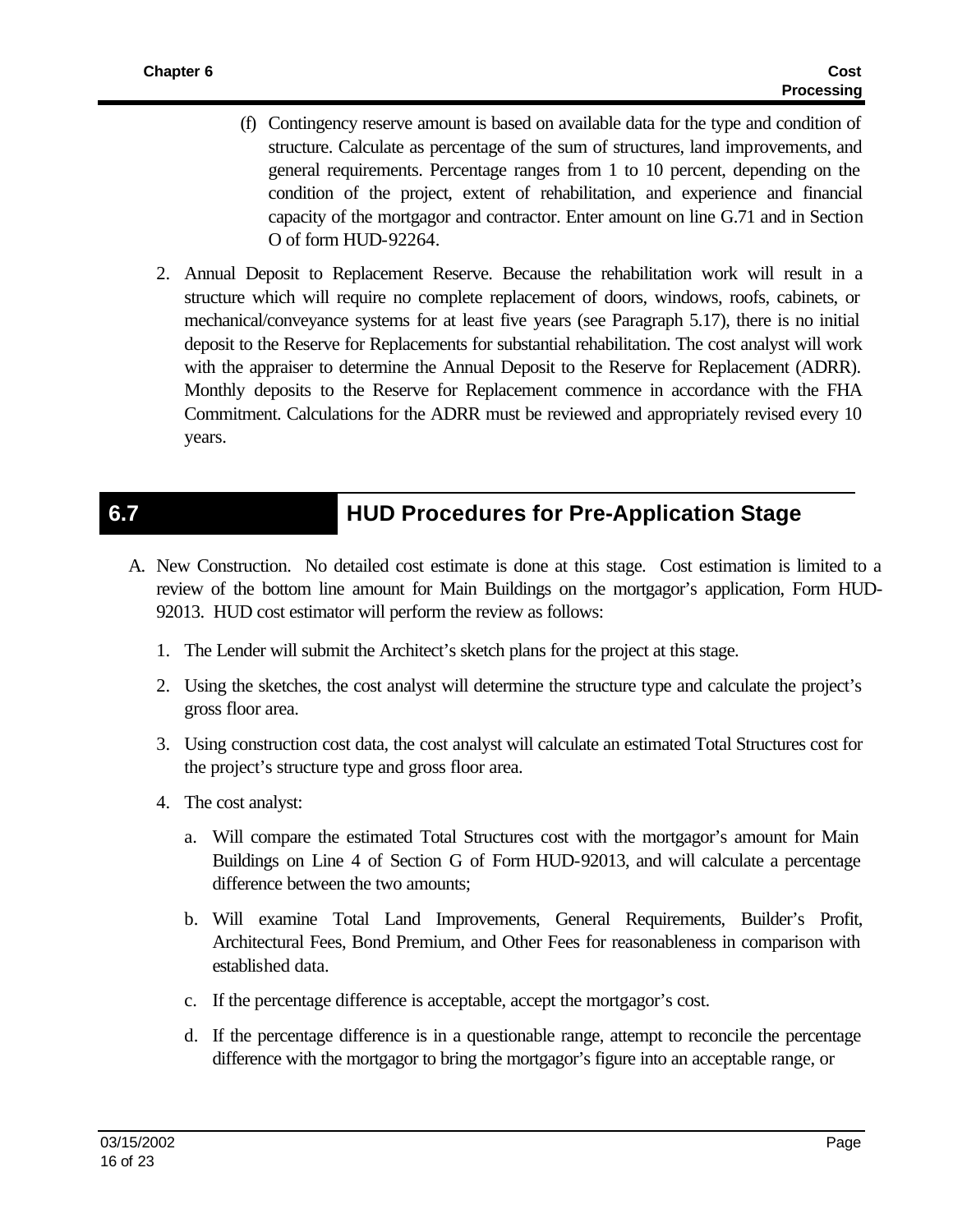- (f) Contingency reserve amount is based on available data for the type and condition of structure. Calculate as percentage of the sum of structures, land improvements, and general requirements. Percentage ranges from 1 to 10 percent, depending on the condition of the project, extent of rehabilitation, and experience and financial capacity of the mortgagor and contractor. Enter amount on line G.71 and in Section O of form HUD-92264.
- 2. Annual Deposit to Replacement Reserve. Because the rehabilitation work will result in a structure which will require no complete replacement of doors, windows, roofs, cabinets, or mechanical/conveyance systems for at least five years (see Paragraph 5.17), there is no initial deposit to the Reserve for Replacements for substantial rehabilitation. The cost analyst will work with the appraiser to determine the Annual Deposit to the Reserve for Replacement (ADRR). Monthly deposits to the Reserve for Replacement commence in accordance with the FHA Commitment. Calculations for the ADRR must be reviewed and appropriately revised every 10 years.

# **6.7 HUD Procedures for Pre-Application Stage**

- A. New Construction. No detailed cost estimate is done at this stage. Cost estimation is limited to a review of the bottom line amount for Main Buildings on the mortgagor's application, Form HUD-92013. HUD cost estimator will perform the review as follows:
	- 1. The Lender will submit the Architect's sketch plans for the project at this stage.
	- 2. Using the sketches, the cost analyst will determine the structure type and calculate the project's gross floor area.
	- 3. Using construction cost data, the cost analyst will calculate an estimated Total Structures cost for the project's structure type and gross floor area.
	- 4. The cost analyst:
		- a. Will compare the estimated Total Structures cost with the mortgagor's amount for Main Buildings on Line 4 of Section G of Form HUD-92013, and will calculate a percentage difference between the two amounts;
		- b. Will examine Total Land Improvements, General Requirements, Builder's Profit, Architectural Fees, Bond Premium, and Other Fees for reasonableness in comparison with established data.
		- c. If the percentage difference is acceptable, accept the mortgagor's cost.
		- d. If the percentage difference is in a questionable range, attempt to reconcile the percentage difference with the mortgagor to bring the mortgagor's figure into an acceptable range, or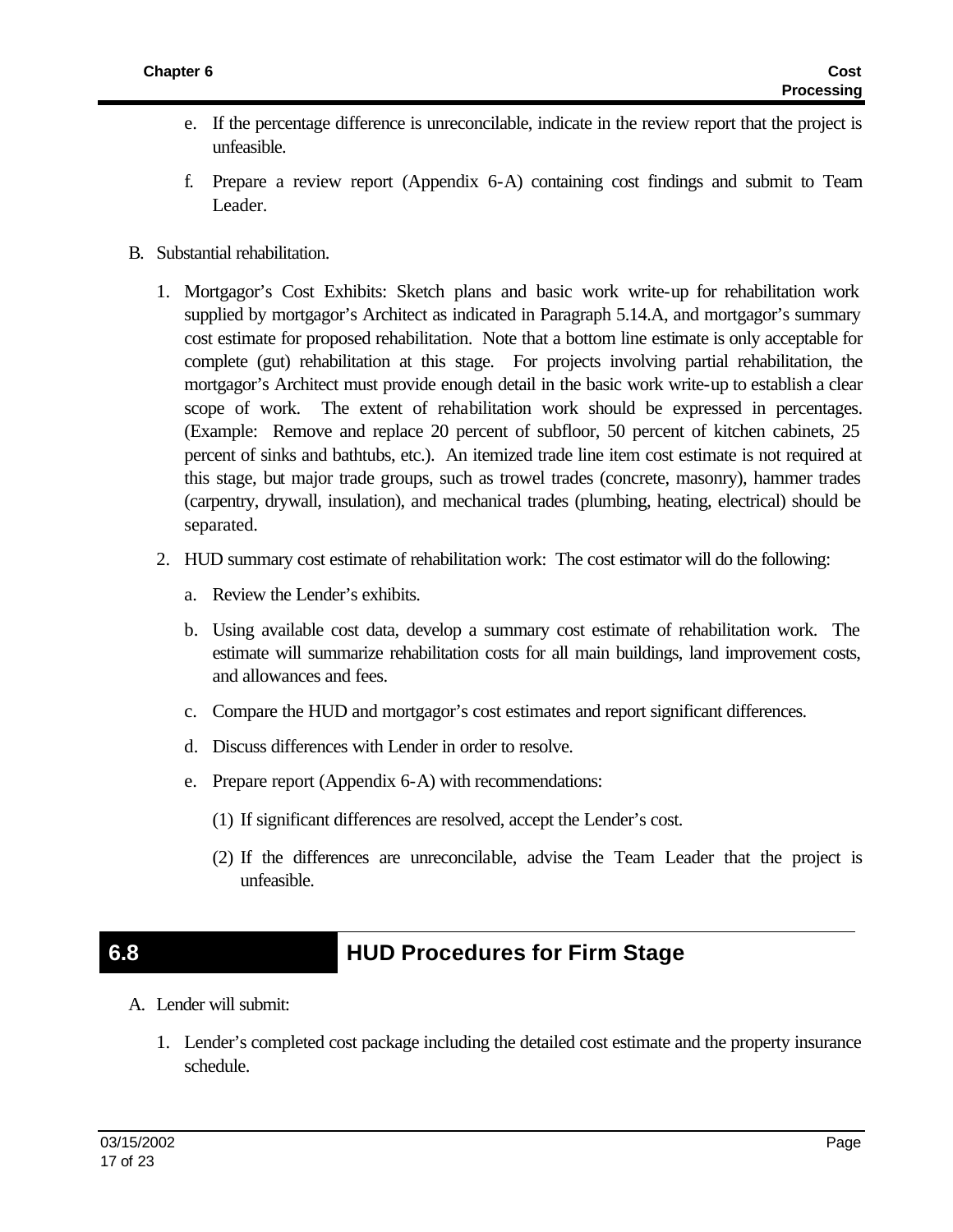- e. If the percentage difference is unreconcilable, indicate in the review report that the project is unfeasible.
- f. Prepare a review report (Appendix 6-A) containing cost findings and submit to Team Leader.
- B. Substantial rehabilitation.
	- 1. Mortgagor's Cost Exhibits: Sketch plans and basic work write-up for rehabilitation work supplied by mortgagor's Architect as indicated in Paragraph 5.14.A, and mortgagor's summary cost estimate for proposed rehabilitation. Note that a bottom line estimate is only acceptable for complete (gut) rehabilitation at this stage. For projects involving partial rehabilitation, the mortgagor's Architect must provide enough detail in the basic work write-up to establish a clear scope of work. The extent of rehabilitation work should be expressed in percentages. (Example: Remove and replace 20 percent of subfloor, 50 percent of kitchen cabinets, 25 percent of sinks and bathtubs, etc.). An itemized trade line item cost estimate is not required at this stage, but major trade groups, such as trowel trades (concrete, masonry), hammer trades (carpentry, drywall, insulation), and mechanical trades (plumbing, heating, electrical) should be separated.
	- 2. HUD summary cost estimate of rehabilitation work: The cost estimator will do the following:
		- a. Review the Lender's exhibits.
		- b. Using available cost data, develop a summary cost estimate of rehabilitation work. The estimate will summarize rehabilitation costs for all main buildings, land improvement costs, and allowances and fees.
		- c. Compare the HUD and mortgagor's cost estimates and report significant differences.
		- d. Discuss differences with Lender in order to resolve.
		- e. Prepare report (Appendix 6-A) with recommendations:
			- (1) If significant differences are resolved, accept the Lender's cost.
			- (2) If the differences are unreconcilable, advise the Team Leader that the project is unfeasible.

### **6.8 HUD Procedures for Firm Stage**

- A. Lender will submit:
	- 1. Lender's completed cost package including the detailed cost estimate and the property insurance schedule.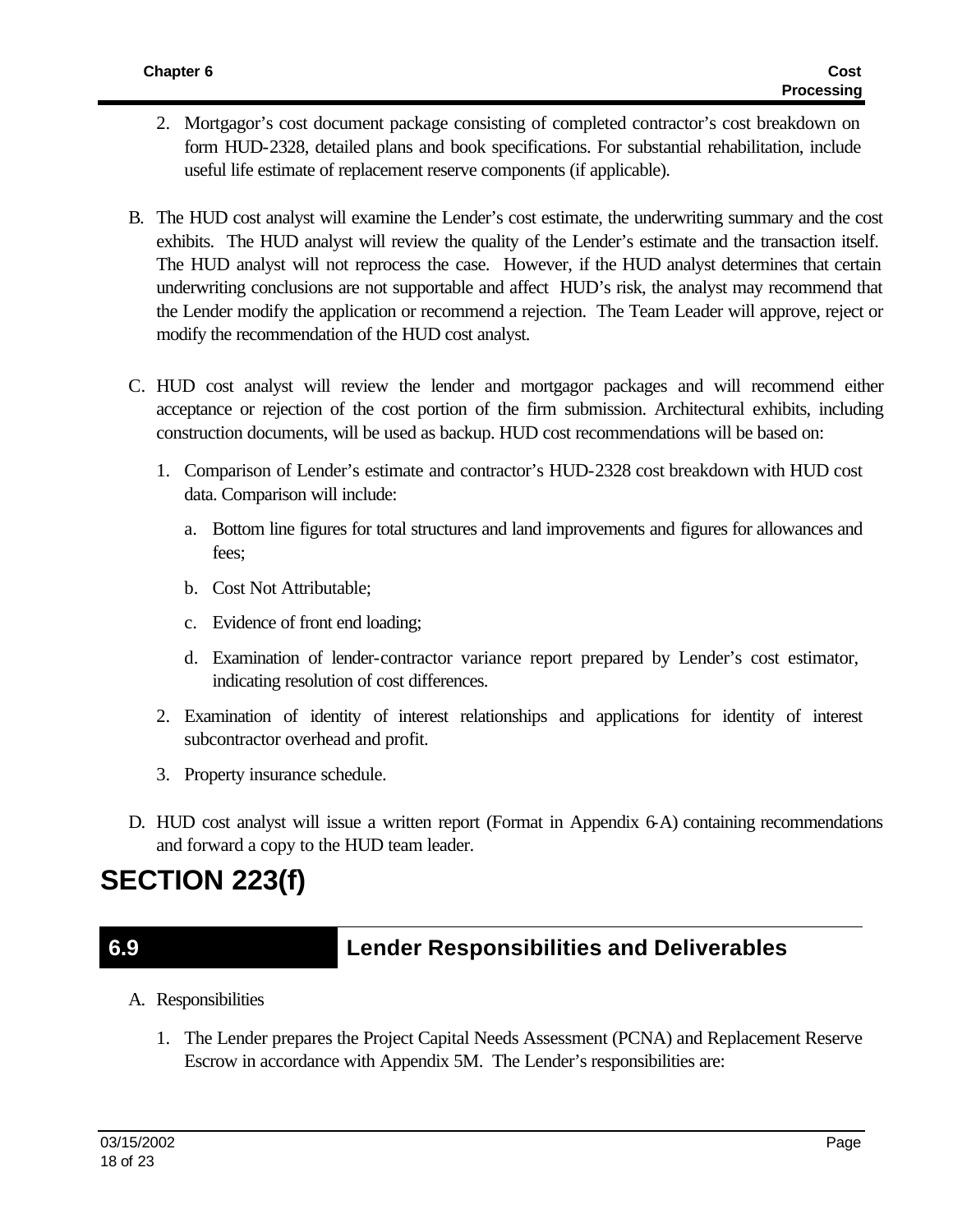- 2. Mortgagor's cost document package consisting of completed contractor's cost breakdown on form HUD-2328, detailed plans and book specifications. For substantial rehabilitation, include useful life estimate of replacement reserve components (if applicable).
- B. The HUD cost analyst will examine the Lender's cost estimate, the underwriting summary and the cost exhibits. The HUD analyst will review the quality of the Lender's estimate and the transaction itself. The HUD analyst will not reprocess the case. However, if the HUD analyst determines that certain underwriting conclusions are not supportable and affect HUD's risk, the analyst may recommend that the Lender modify the application or recommend a rejection. The Team Leader will approve, reject or modify the recommendation of the HUD cost analyst.
- C. HUD cost analyst will review the lender and mortgagor packages and will recommend either acceptance or rejection of the cost portion of the firm submission. Architectural exhibits, including construction documents, will be used as backup. HUD cost recommendations will be based on:
	- 1. Comparison of Lender's estimate and contractor's HUD-2328 cost breakdown with HUD cost data. Comparison will include:
		- a. Bottom line figures for total structures and land improvements and figures for allowances and fees;
		- b. Cost Not Attributable;
		- c. Evidence of front end loading;
		- d. Examination of lender-contractor variance report prepared by Lender's cost estimator, indicating resolution of cost differences.
	- 2. Examination of identity of interest relationships and applications for identity of interest subcontractor overhead and profit.
	- 3. Property insurance schedule.
- D. HUD cost analyst will issue a written report (Format in Appendix 6-A) containing recommendations and forward a copy to the HUD team leader.

# **SECTION 223(f)**

## **6.9 Lender Responsibilities and Deliverables**

- A. Responsibilities
	- 1. The Lender prepares the Project Capital Needs Assessment (PCNA) and Replacement Reserve Escrow in accordance with Appendix 5M. The Lender's responsibilities are: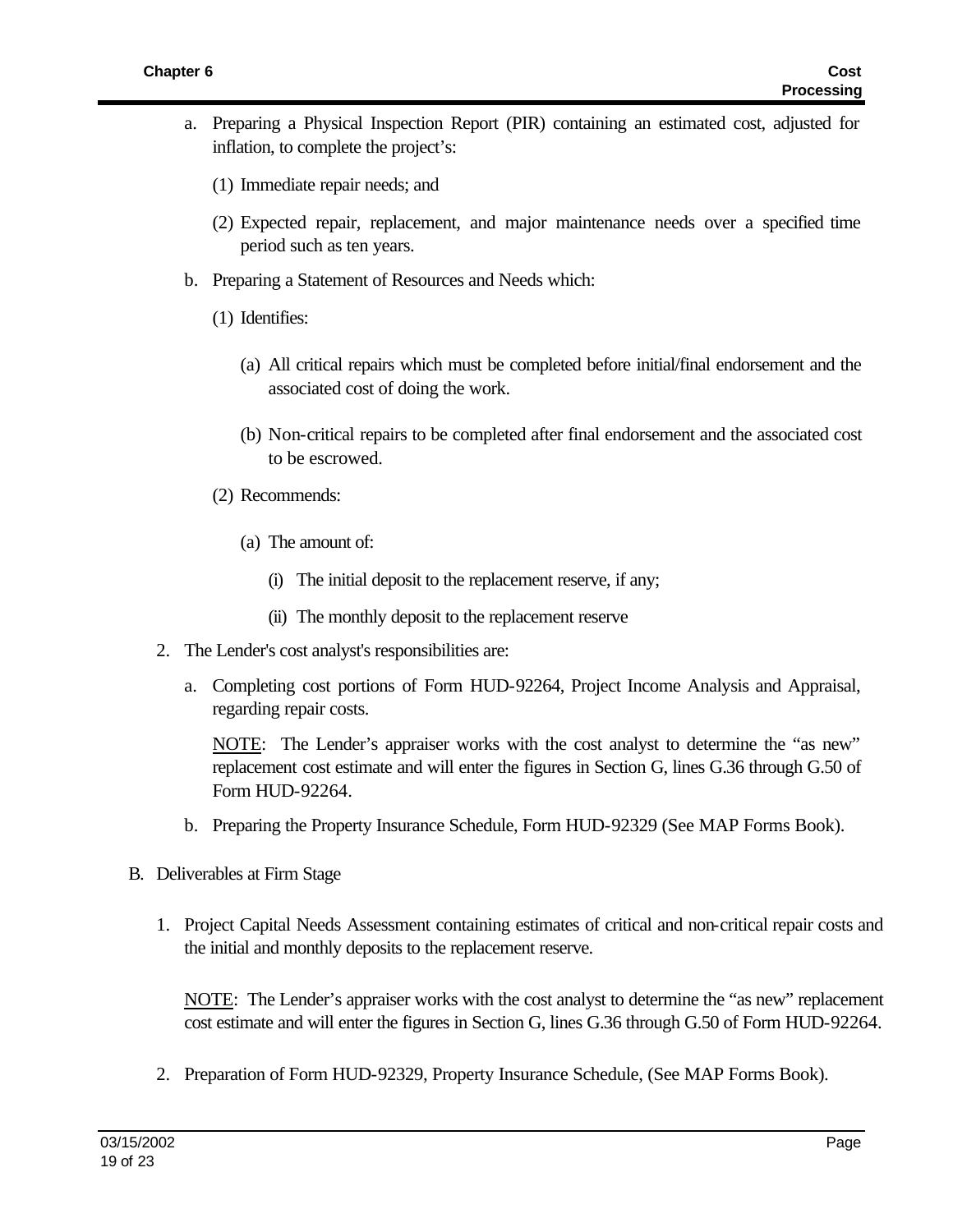- a. Preparing a Physical Inspection Report (PIR) containing an estimated cost, adjusted for inflation, to complete the project's:
	- (1) Immediate repair needs; and
	- (2) Expected repair, replacement, and major maintenance needs over a specified time period such as ten years.
- b. Preparing a Statement of Resources and Needs which:
	- (1) Identifies:
		- (a) All critical repairs which must be completed before initial/final endorsement and the associated cost of doing the work.
		- (b) Non-critical repairs to be completed after final endorsement and the associated cost to be escrowed.
	- (2) Recommends:
		- (a) The amount of:
			- (i) The initial deposit to the replacement reserve, if any;
			- (ii) The monthly deposit to the replacement reserve
- 2. The Lender's cost analyst's responsibilities are:
	- a. Completing cost portions of Form HUD-92264, Project Income Analysis and Appraisal, regarding repair costs.

NOTE: The Lender's appraiser works with the cost analyst to determine the "as new" replacement cost estimate and will enter the figures in Section G, lines G.36 through G.50 of Form HUD-92264.

- b. Preparing the Property Insurance Schedule, Form HUD-92329 (See MAP Forms Book).
- B. Deliverables at Firm Stage
	- 1. Project Capital Needs Assessment containing estimates of critical and non-critical repair costs and the initial and monthly deposits to the replacement reserve.

NOTE: The Lender's appraiser works with the cost analyst to determine the "as new" replacement cost estimate and will enter the figures in Section G, lines G.36 through G.50 of Form HUD-92264.

2. Preparation of Form HUD-92329, Property Insurance Schedule, (See MAP Forms Book).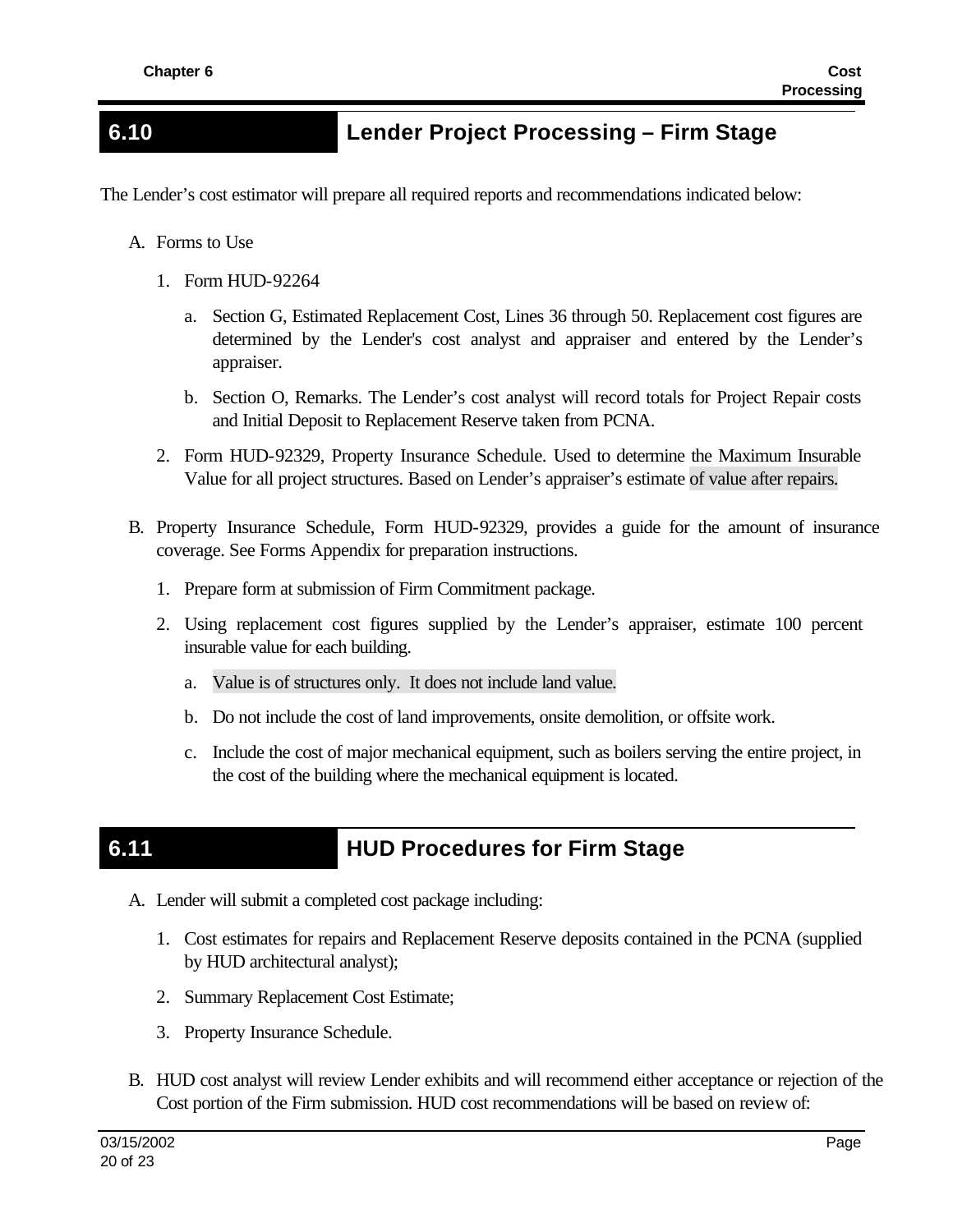## **6.10 Lender Project Processing – Firm Stage**

The Lender's cost estimator will prepare all required reports and recommendations indicated below:

- A. Forms to Use
	- 1. Form HUD-92264
		- a. Section G, Estimated Replacement Cost, Lines 36 through 50. Replacement cost figures are determined by the Lender's cost analyst and appraiser and entered by the Lender's appraiser.
		- b. Section O, Remarks. The Lender's cost analyst will record totals for Project Repair costs and Initial Deposit to Replacement Reserve taken from PCNA.
	- 2. Form HUD-92329, Property Insurance Schedule. Used to determine the Maximum Insurable Value for all project structures. Based on Lender's appraiser's estimate of value after repairs.
- B. Property Insurance Schedule, Form HUD-92329, provides a guide for the amount of insurance coverage. See Forms Appendix for preparation instructions.
	- 1. Prepare form at submission of Firm Commitment package.
	- 2. Using replacement cost figures supplied by the Lender's appraiser, estimate 100 percent insurable value for each building.
		- a. Value is of structures only. It does not include land value.
		- b. Do not include the cost of land improvements, onsite demolition, or offsite work.
		- c. Include the cost of major mechanical equipment, such as boilers serving the entire project, in the cost of the building where the mechanical equipment is located.

## **6.11 HUD Procedures for Firm Stage**

- A. Lender will submit a completed cost package including:
	- 1. Cost estimates for repairs and Replacement Reserve deposits contained in the PCNA (supplied by HUD architectural analyst);
	- 2. Summary Replacement Cost Estimate;
	- 3. Property Insurance Schedule.
- B. HUD cost analyst will review Lender exhibits and will recommend either acceptance or rejection of the Cost portion of the Firm submission. HUD cost recommendations will be based on review of: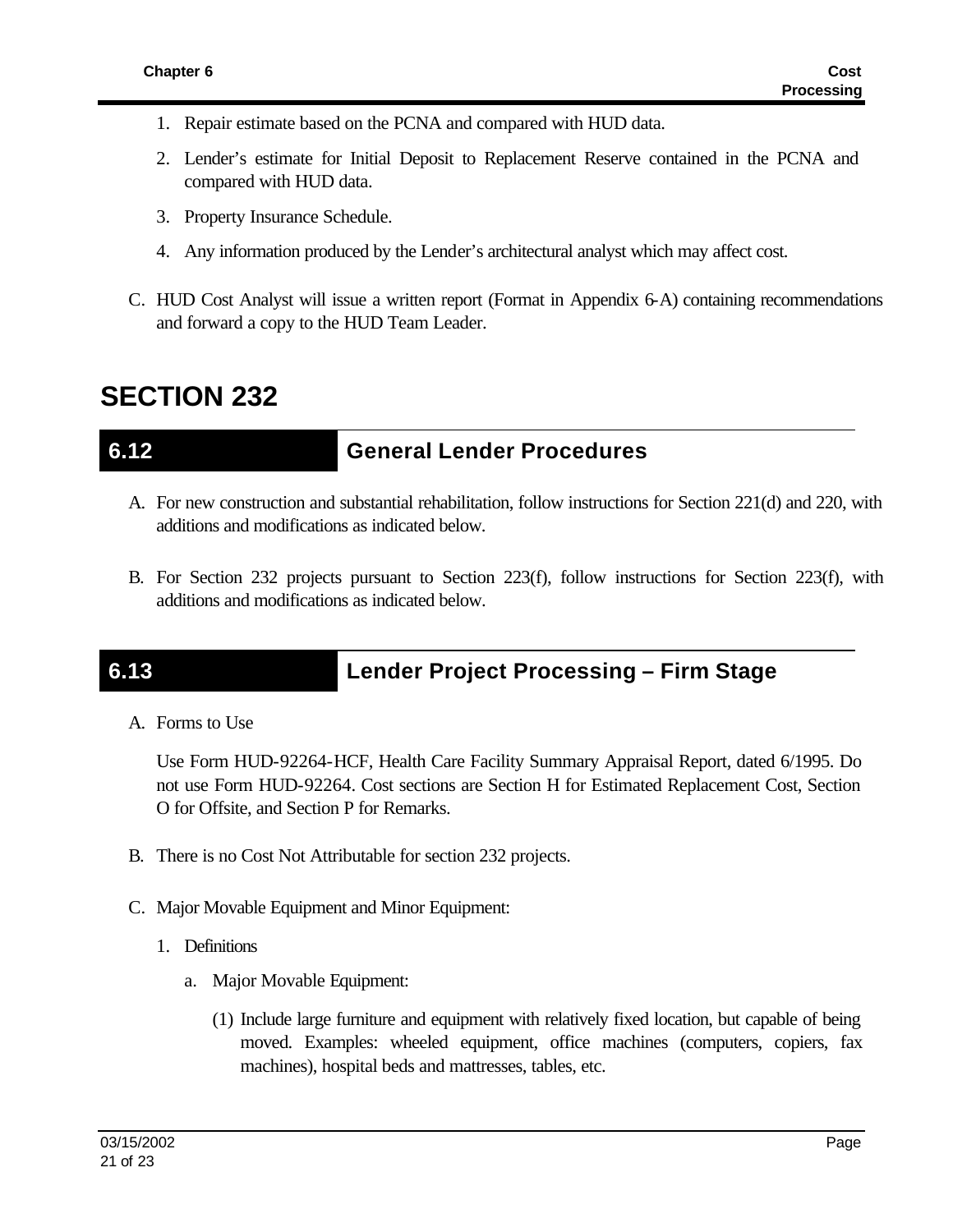- 1. Repair estimate based on the PCNA and compared with HUD data.
- 2. Lender's estimate for Initial Deposit to Replacement Reserve contained in the PCNA and compared with HUD data.
- 3. Property Insurance Schedule.
- 4. Any information produced by the Lender's architectural analyst which may affect cost.
- C. HUD Cost Analyst will issue a written report (Format in Appendix 6-A) containing recommendations and forward a copy to the HUD Team Leader.

## **SECTION 232**

## **6.12 General Lender Procedures**

- A. For new construction and substantial rehabilitation, follow instructions for Section 221(d) and 220, with additions and modifications as indicated below.
- B. For Section 232 projects pursuant to Section 223(f), follow instructions for Section 223(f), with additions and modifications as indicated below.

# **6.13 Lender Project Processing – Firm Stage**

A. Forms to Use

Use Form HUD-92264-HCF, Health Care Facility Summary Appraisal Report, dated 6/1995. Do not use Form HUD-92264. Cost sections are Section H for Estimated Replacement Cost, Section O for Offsite, and Section P for Remarks.

- B. There is no Cost Not Attributable for section 232 projects.
- C. Major Movable Equipment and Minor Equipment:
	- 1. Definitions
		- a. Major Movable Equipment:
			- (1) Include large furniture and equipment with relatively fixed location, but capable of being moved. Examples: wheeled equipment, office machines (computers, copiers, fax machines), hospital beds and mattresses, tables, etc.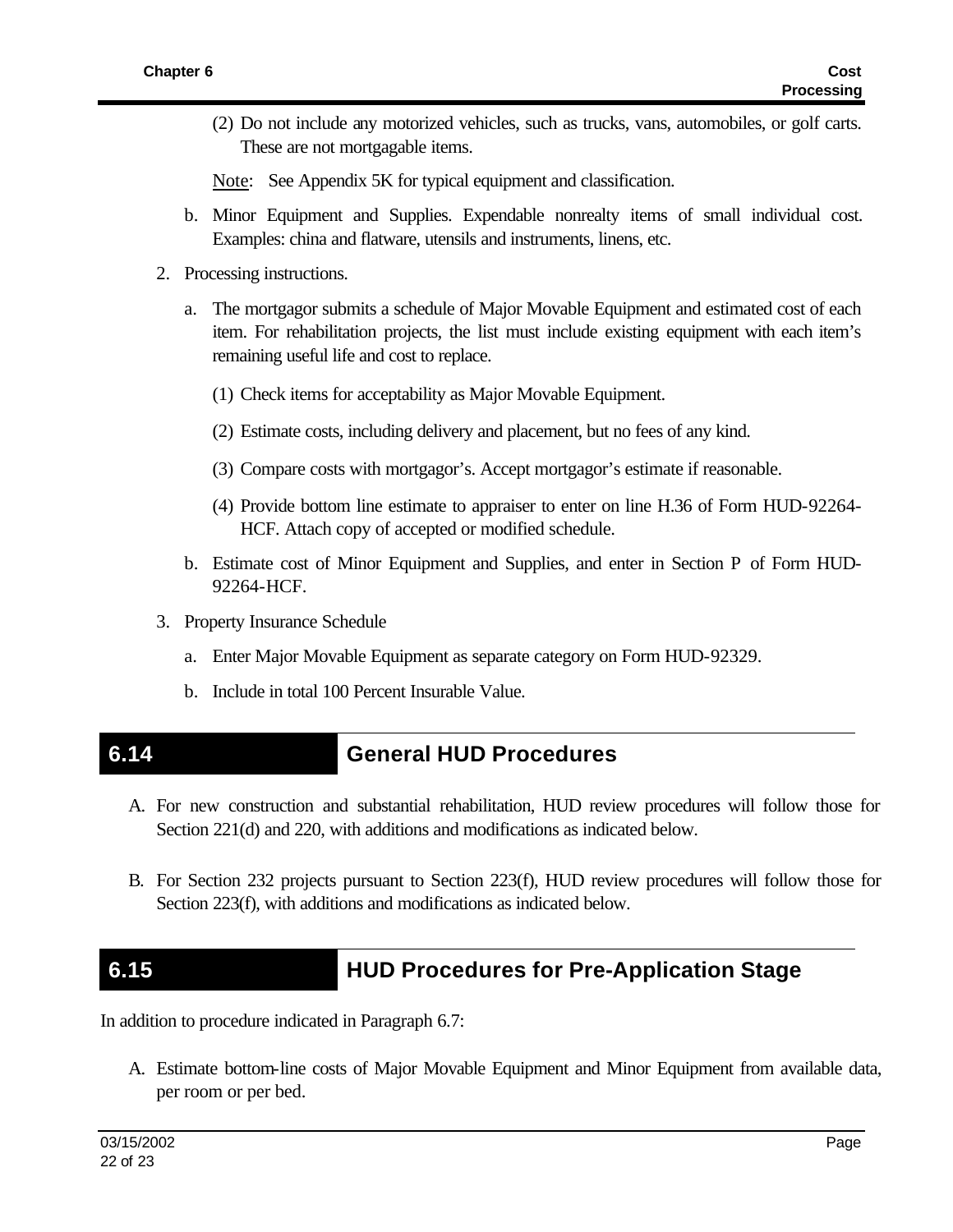(2) Do not include any motorized vehicles, such as trucks, vans, automobiles, or golf carts. These are not mortgagable items.

Note: See Appendix 5K for typical equipment and classification.

- b. Minor Equipment and Supplies. Expendable nonrealty items of small individual cost. Examples: china and flatware, utensils and instruments, linens, etc.
- 2. Processing instructions.
	- a. The mortgagor submits a schedule of Major Movable Equipment and estimated cost of each item. For rehabilitation projects, the list must include existing equipment with each item's remaining useful life and cost to replace.
		- (1) Check items for acceptability as Major Movable Equipment.
		- (2) Estimate costs, including delivery and placement, but no fees of any kind.
		- (3) Compare costs with mortgagor's. Accept mortgagor's estimate if reasonable.
		- (4) Provide bottom line estimate to appraiser to enter on line H.36 of Form HUD-92264- HCF. Attach copy of accepted or modified schedule.
	- b. Estimate cost of Minor Equipment and Supplies, and enter in Section P of Form HUD-92264-HCF.
- 3. Property Insurance Schedule
	- a. Enter Major Movable Equipment as separate category on Form HUD-92329.
	- b. Include in total 100 Percent Insurable Value.

## **6.14 General HUD Procedures**

- A. For new construction and substantial rehabilitation, HUD review procedures will follow those for Section 221(d) and 220, with additions and modifications as indicated below.
- B. For Section 232 projects pursuant to Section 223(f), HUD review procedures will follow those for Section 223(f), with additions and modifications as indicated below.

## **6.15 HUD Procedures for Pre-Application Stage**

In addition to procedure indicated in Paragraph 6.7:

A. Estimate bottom-line costs of Major Movable Equipment and Minor Equipment from available data, per room or per bed.